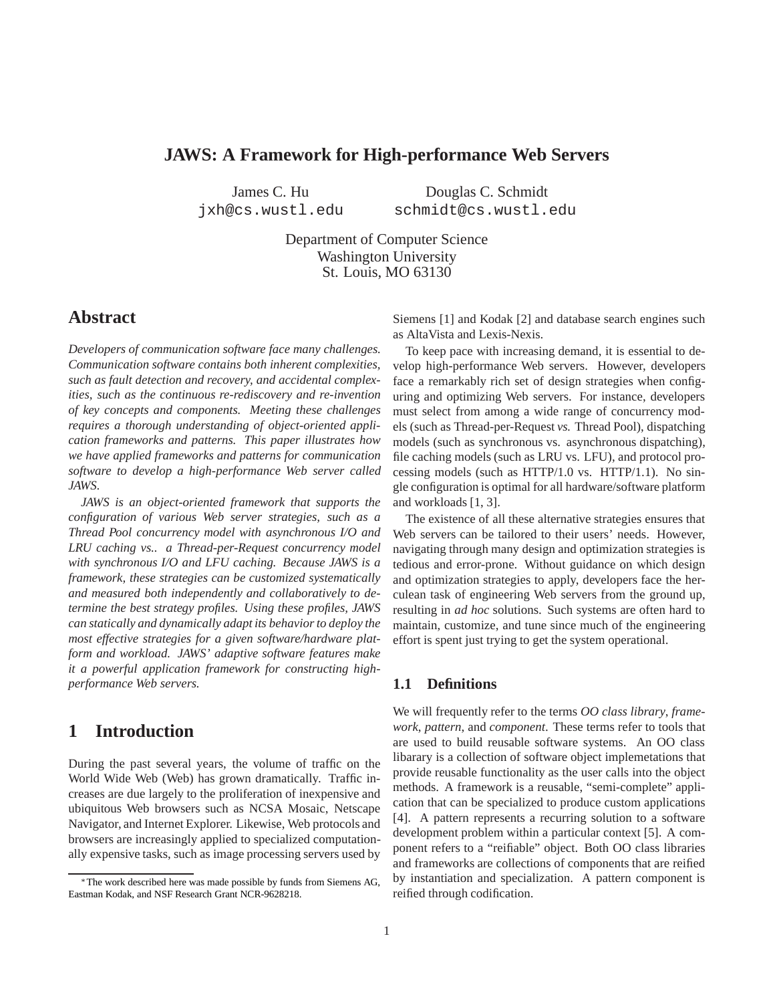# **JAWS: A Framework for High-performance Web Servers**

James C. Hu jxh@cs.wustl.edu

 Douglas C. Schmidt schmidt@cs.wustl.edu

Department of Computer Science Washington University St. Louis, MO 63130

# **Abstract**

*Developers of communication software face many challenges. Communication software contains both inherent complexities, such as fault detection and recovery, and accidental complexities, such as the continuous re-rediscovery and re-invention of key concepts and components. Meeting these challenges requires a thorough understanding of object-oriented application frameworks and patterns. This paper illustrates how we have applied frameworks and patterns for communication software to develop a high-performance Web server called JAWS.*

*JAWS is an object-oriented framework that supports the configuration of various Web server strategies, such as a Thread Pool concurrency model with asynchronous I/O and LRU caching vs.. a Thread-per-Request concurrency model with synchronous I/O and LFU caching. Because JAWS is a framework, these strategies can be customized systematically and measured both independently and collaboratively to determine the best strategy profiles. Using these profiles, JAWS can statically and dynamically adapt its behavior to deploy the most effective strategies for a given software/hardware platform and workload. JAWS' adaptive software features make it a powerful application framework for constructing highperformance Web servers.*

# **1 Introduction**

During the past several years, the volume of traffic on the World Wide Web (Web) has grown dramatically. Traffic increases are due largely to the proliferation of inexpensive and ubiquitous Web browsers such as NCSA Mosaic, Netscape Navigator, and Internet Explorer. Likewise, Web protocols and browsers are increasingly applied to specialized computationally expensive tasks, such as image processing servers used by Siemens [1] and Kodak [2] and database search engines such as AltaVista and Lexis-Nexis.

To keep pace with increasing demand, it is essential to develop high-performance Web servers. However, developers face a remarkably rich set of design strategies when configuring and optimizing Web servers. For instance, developers must select from among a wide range of concurrency models (such as Thread-per-Request *vs.* Thread Pool), dispatching models (such as synchronous vs. asynchronous dispatching), file caching models (such as LRU vs. LFU), and protocol processing models (such as HTTP/1.0 vs. HTTP/1.1). No single configuration is optimal for all hardware/software platform and workloads [1, 3].

The existence of all these alternative strategies ensures that Web servers can be tailored to their users' needs. However, navigating through many design and optimization strategies is tedious and error-prone. Without guidance on which design and optimization strategies to apply, developers face the herculean task of engineering Web servers from the ground up, resulting in *ad hoc* solutions. Such systems are often hard to maintain, customize, and tune since much of the engineering effort is spent just trying to get the system operational.

## **1.1 Definitions**

We will frequently refer to the terms *OO class library*, *framework*, *pattern*, and *component*. These terms refer to tools that are used to build reusable software systems. An OO class libarary is a collection of software object implemetations that provide reusable functionality as the user calls into the object methods. A framework is a reusable, "semi-complete" application that can be specialized to produce custom applications [4]. A pattern represents a recurring solution to a software development problem within a particular context [5]. A component refers to a "reifiable" object. Both OO class libraries and frameworks are collections of components that are reified by instantiation and specialization. A pattern component is reified through codification.

The work described here was made possible by funds from Siemens AG, Eastman Kodak, and NSF Research Grant NCR-9628218.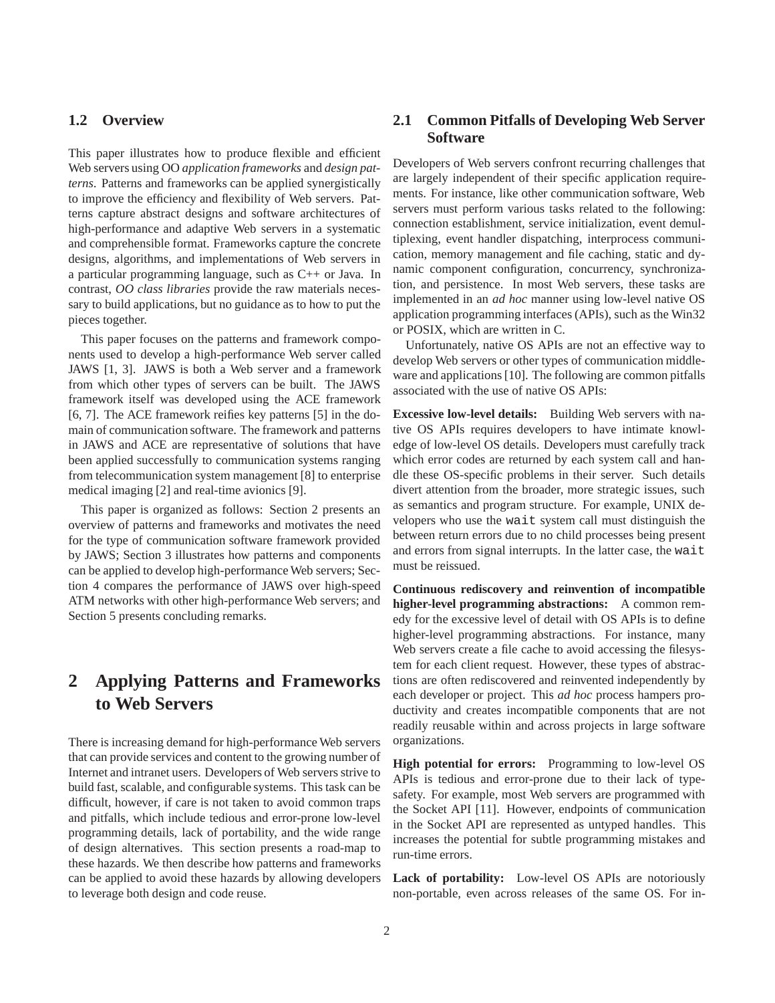## **1.2 Overview**

This paper illustrates how to produce flexible and efficient Web servers using OO *application frameworks* and *design patterns*. Patterns and frameworks can be applied synergistically to improve the efficiency and flexibility of Web servers. Patterns capture abstract designs and software architectures of high-performance and adaptive Web servers in a systematic and comprehensible format. Frameworks capture the concrete designs, algorithms, and implementations of Web servers in a particular programming language, such as C++ or Java. In contrast, *OO class libraries* provide the raw materials necessary to build applications, but no guidance as to how to put the pieces together.

This paper focuses on the patterns and framework components used to develop a high-performance Web server called JAWS [1, 3]. JAWS is both a Web server and a framework from which other types of servers can be built. The JAWS framework itself was developed using the ACE framework [6, 7]. The ACE framework reifies key patterns [5] in the domain of communication software. The framework and patterns in JAWS and ACE are representative of solutions that have been applied successfully to communication systems ranging from telecommunication system management [8] to enterprise medical imaging [2] and real-time avionics [9].

This paper is organized as follows: Section 2 presents an overview of patterns and frameworks and motivates the need for the type of communication software framework provided by JAWS; Section 3 illustrates how patterns and components can be applied to develop high-performance Web servers; Section 4 compares the performance of JAWS over high-speed ATM networks with other high-performance Web servers; and Section 5 presents concluding remarks.

# **2 Applying Patterns and Frameworks to Web Servers**

There is increasing demand for high-performance Web servers that can provide services and content to the growing number of Internet and intranet users. Developers of Web servers strive to build fast, scalable, and configurable systems. This task can be difficult, however, if care is not taken to avoid common traps and pitfalls, which include tedious and error-prone low-level programming details, lack of portability, and the wide range of design alternatives. This section presents a road-map to these hazards. We then describe how patterns and frameworks can be applied to avoid these hazards by allowing developers to leverage both design and code reuse.

## **2.1 Common Pitfalls of Developing Web Server Software**

Developers of Web servers confront recurring challenges that are largely independent of their specific application requirements. For instance, like other communication software, Web servers must perform various tasks related to the following: connection establishment, service initialization, event demultiplexing, event handler dispatching, interprocess communication, memory management and file caching, static and dynamic component configuration, concurrency, synchronization, and persistence. In most Web servers, these tasks are implemented in an *ad hoc* manner using low-level native OS application programming interfaces (APIs), such as the Win32 or POSIX, which are written in C.

Unfortunately, native OS APIs are not an effective way to develop Web servers or other types of communication middleware and applications [10]. The following are common pitfalls associated with the use of native OS APIs:

**Excessive low-level details:** Building Web servers with native OS APIs requires developers to have intimate knowledge of low-level OS details. Developers must carefully track which error codes are returned by each system call and handle these OS-specific problems in their server. Such details divert attention from the broader, more strategic issues, such as semantics and program structure. For example, UNIX developers who use the wait system call must distinguish the between return errors due to no child processes being present and errors from signal interrupts. In the latter case, the wait must be reissued.

**Continuous rediscovery and reinvention of incompatible higher-level programming abstractions:** A common remedy for the excessive level of detail with OS APIs is to define higher-level programming abstractions. For instance, many Web servers create a file cache to avoid accessing the filesystem for each client request. However, these types of abstractions are often rediscovered and reinvented independently by each developer or project. This *ad hoc* process hampers productivity and creates incompatible components that are not readily reusable within and across projects in large software organizations.

**High potential for errors:** Programming to low-level OS APIs is tedious and error-prone due to their lack of typesafety. For example, most Web servers are programmed with the Socket API [11]. However, endpoints of communication in the Socket API are represented as untyped handles. This increases the potential for subtle programming mistakes and run-time errors.

**Lack of portability:** Low-level OS APIs are notoriously non-portable, even across releases of the same OS. For in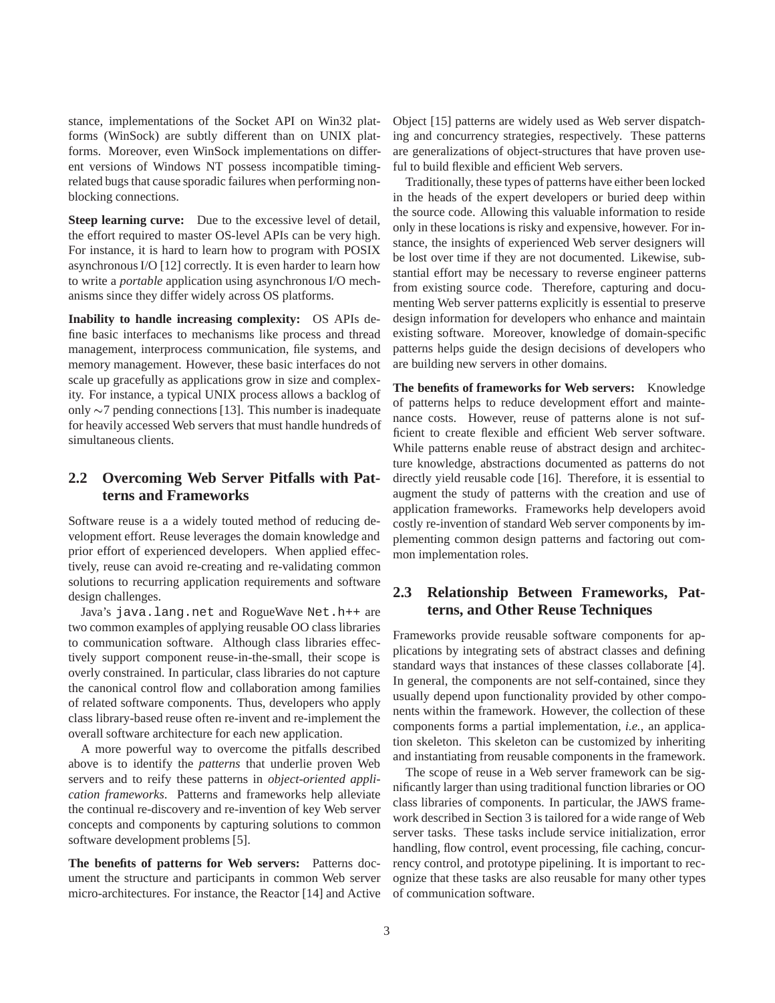stance, implementations of the Socket API on Win32 platforms (WinSock) are subtly different than on UNIX platforms. Moreover, even WinSock implementations on different versions of Windows NT possess incompatible timingrelated bugs that cause sporadic failures when performing nonblocking connections.

**Steep learning curve:** Due to the excessive level of detail, the effort required to master OS-level APIs can be very high. For instance, it is hard to learn how to program with POSIX asynchronous I/O [12] correctly. It is even harder to learn how to write a *portable* application using asynchronous I/O mechanisms since they differ widely across OS platforms.

**Inability to handle increasing complexity:** OS APIs define basic interfaces to mechanisms like process and thread management, interprocess communication, file systems, and memory management. However, these basic interfaces do not scale up gracefully as applications grow in size and complexity. For instance, a typical UNIX process allows a backlog of only  $\sim$ 7 pending connections [13]. This number is inadequate for heavily accessed Web servers that must handle hundreds of simultaneous clients.

## **2.2 Overcoming Web Server Pitfalls with Patterns and Frameworks**

Software reuse is a a widely touted method of reducing development effort. Reuse leverages the domain knowledge and prior effort of experienced developers. When applied effectively, reuse can avoid re-creating and re-validating common solutions to recurring application requirements and software design challenges.

Java's java.lang.net and RogueWave Net.h++ are two common examples of applying reusable OO class libraries to communication software. Although class libraries effectively support component reuse-in-the-small, their scope is overly constrained. In particular, class libraries do not capture the canonical control flow and collaboration among families of related software components. Thus, developers who apply class library-based reuse often re-invent and re-implement the overall software architecture for each new application.

A more powerful way to overcome the pitfalls described above is to identify the *patterns* that underlie proven Web servers and to reify these patterns in *object-oriented application frameworks*. Patterns and frameworks help alleviate the continual re-discovery and re-invention of key Web server concepts and components by capturing solutions to common software development problems [5].

**The benefits of patterns for Web servers:** Patterns document the structure and participants in common Web server micro-architectures. For instance, the Reactor [14] and Active Object [15] patterns are widely used as Web server dispatching and concurrency strategies, respectively. These patterns are generalizations of object-structures that have proven useful to build flexible and efficient Web servers.

Traditionally, these types of patterns have either been locked in the heads of the expert developers or buried deep within the source code. Allowing this valuable information to reside only in these locations is risky and expensive, however. For instance, the insights of experienced Web server designers will be lost over time if they are not documented. Likewise, substantial effort may be necessary to reverse engineer patterns from existing source code. Therefore, capturing and documenting Web server patterns explicitly is essential to preserve design information for developers who enhance and maintain existing software. Moreover, knowledge of domain-specific patterns helps guide the design decisions of developers who are building new servers in other domains.

**The benefits of frameworks for Web servers:** Knowledge of patterns helps to reduce development effort and maintenance costs. However, reuse of patterns alone is not sufficient to create flexible and efficient Web server software. While patterns enable reuse of abstract design and architecture knowledge, abstractions documented as patterns do not directly yield reusable code [16]. Therefore, it is essential to augment the study of patterns with the creation and use of application frameworks. Frameworks help developers avoid costly re-invention of standard Web server components by implementing common design patterns and factoring out common implementation roles.

# **2.3 Relationship Between Frameworks, Patterns, and Other Reuse Techniques**

Frameworks provide reusable software components for applications by integrating sets of abstract classes and defining standard ways that instances of these classes collaborate [4]. In general, the components are not self-contained, since they usually depend upon functionality provided by other components within the framework. However, the collection of these components forms a partial implementation, *i.e.*, an application skeleton. This skeleton can be customized by inheriting and instantiating from reusable components in the framework.

The scope of reuse in a Web server framework can be significantly larger than using traditional function libraries or OO class libraries of components. In particular, the JAWS framework described in Section 3 is tailored for a wide range of Web server tasks. These tasks include service initialization, error handling, flow control, event processing, file caching, concurrency control, and prototype pipelining. It is important to recognize that these tasks are also reusable for many other types of communication software.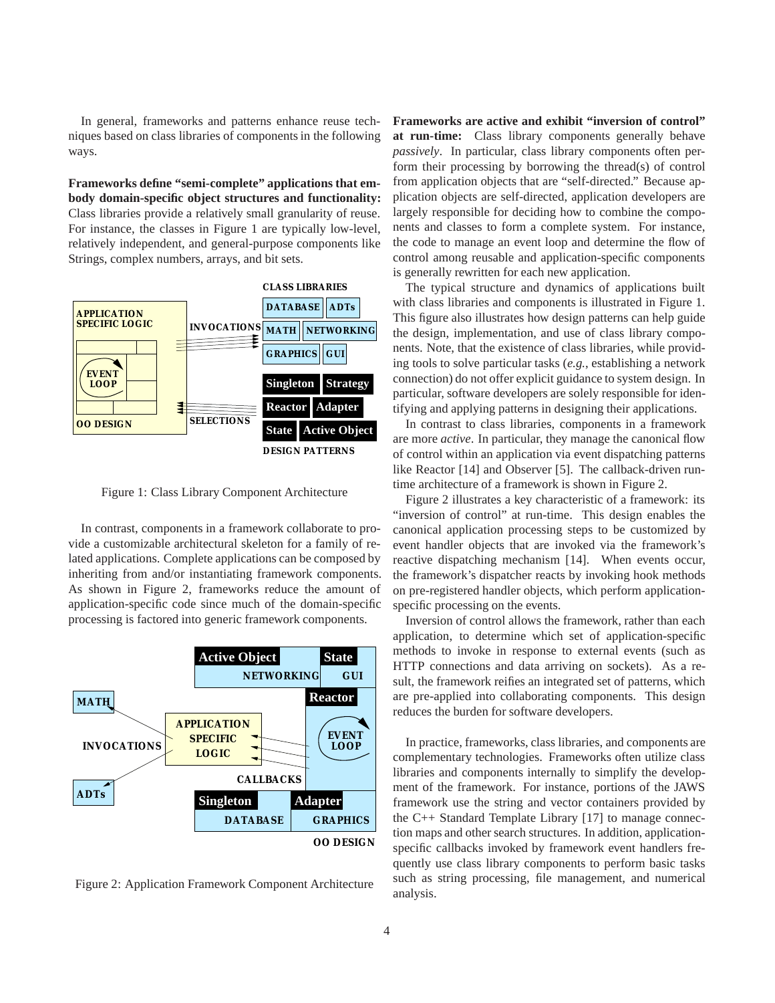In general, frameworks and patterns enhance reuse techniques based on class libraries of components in the following ways.

**Frameworks define "semi-complete" applications that embody domain-specific object structures and functionality:** Class libraries provide a relatively small granularity of reuse. For instance, the classes in Figure 1 are typically low-level, relatively independent, and general-purpose components like Strings, complex numbers, arrays, and bit sets.



Figure 1: Class Library Component Architecture

In contrast, components in a framework collaborate to provide a customizable architectural skeleton for a family of related applications. Complete applications can be composed by inheriting from and/or instantiating framework components. As shown in Figure 2, frameworks reduce the amount of application-specific code since much of the domain-specific processing is factored into generic framework components.



Figure 2: Application Framework Component Architecture

**Frameworks are active and exhibit "inversion of control" at run-time:** Class library components generally behave *passively*. In particular, class library components often perform their processing by borrowing the thread(s) of control from application objects that are "self-directed." Because application objects are self-directed, application developers are largely responsible for deciding how to combine the components and classes to form a complete system. For instance, the code to manage an event loop and determine the flow of control among reusable and application-specific components is generally rewritten for each new application.

The typical structure and dynamics of applications built with class libraries and components is illustrated in Figure 1. This figure also illustrates how design patterns can help guide the design, implementation, and use of class library components. Note, that the existence of class libraries, while providing tools to solve particular tasks (*e.g.*, establishing a network connection) do not offer explicit guidance to system design. In particular, software developers are solely responsible for identifying and applying patterns in designing their applications.

In contrast to class libraries, components in a framework are more *active*. In particular, they manage the canonical flow of control within an application via event dispatching patterns like Reactor [14] and Observer [5]. The callback-driven runtime architecture of a framework is shown in Figure 2.

Figure 2 illustrates a key characteristic of a framework: its "inversion of control" at run-time. This design enables the canonical application processing steps to be customized by event handler objects that are invoked via the framework's reactive dispatching mechanism [14]. When events occur, the framework's dispatcher reacts by invoking hook methods on pre-registered handler objects, which perform applicationspecific processing on the events.

Inversion of control allows the framework, rather than each application, to determine which set of application-specific methods to invoke in response to external events (such as HTTP connections and data arriving on sockets). As a result, the framework reifies an integrated set of patterns, which are pre-applied into collaborating components. This design reduces the burden for software developers.

In practice, frameworks, class libraries, and components are complementary technologies. Frameworks often utilize class libraries and components internally to simplify the development of the framework. For instance, portions of the JAWS framework use the string and vector containers provided by the C++ Standard Template Library [17] to manage connection maps and other search structures. In addition, applicationspecific callbacks invoked by framework event handlers frequently use class library components to perform basic tasks such as string processing, file management, and numerical analysis.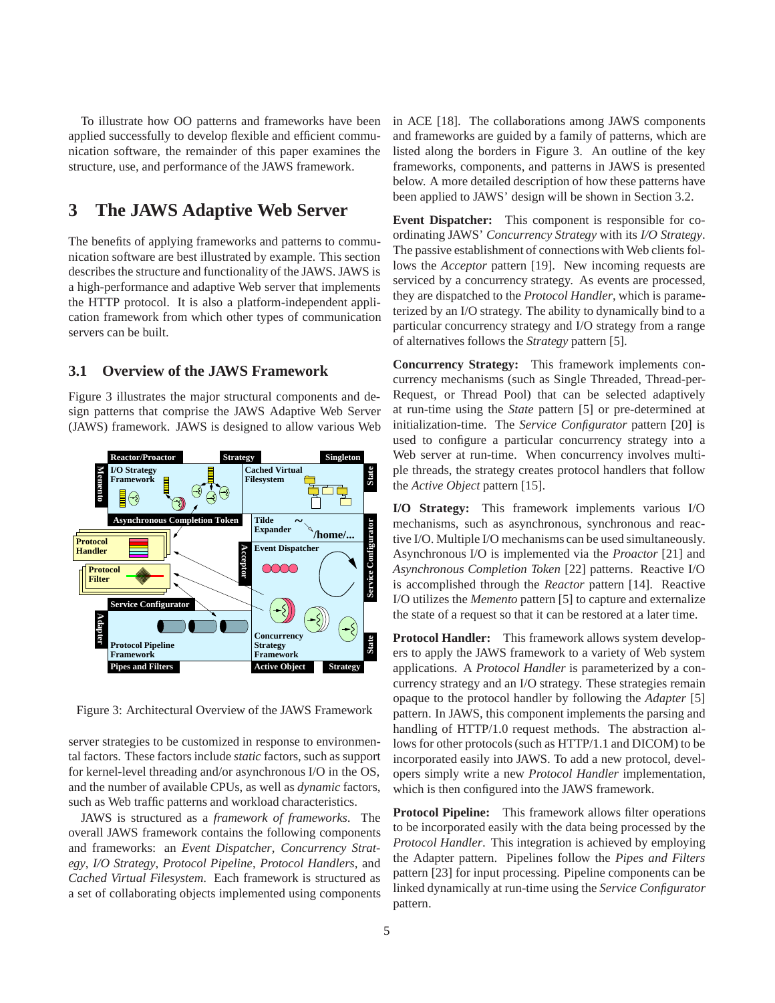To illustrate how OO patterns and frameworks have been applied successfully to develop flexible and efficient communication software, the remainder of this paper examines the structure, use, and performance of the JAWS framework.

# **3 The JAWS Adaptive Web Server**

The benefits of applying frameworks and patterns to communication software are best illustrated by example. This section describes the structure and functionality of the JAWS. JAWS is a high-performance and adaptive Web server that implements the HTTP protocol. It is also a platform-independent application framework from which other types of communication servers can be built.

### **3.1 Overview of the JAWS Framework**

Figure 3 illustrates the major structural components and design patterns that comprise the JAWS Adaptive Web Server (JAWS) framework. JAWS is designed to allow various Web



Figure 3: Architectural Overview of the JAWS Framework

server strategies to be customized in response to environmental factors. These factors include *static* factors, such as support for kernel-level threading and/or asynchronous I/O in the OS, and the number of available CPUs, as well as *dynamic* factors, such as Web traffic patterns and workload characteristics.

JAWS is structured as a *framework of frameworks*. The overall JAWS framework contains the following components and frameworks: an *Event Dispatcher*, *Concurrency Strategy*, *I/O Strategy*, *Protocol Pipeline*, *Protocol Handlers*, and *Cached Virtual Filesystem*. Each framework is structured as a set of collaborating objects implemented using components in ACE [18]. The collaborations among JAWS components and frameworks are guided by a family of patterns, which are listed along the borders in Figure 3. An outline of the key frameworks, components, and patterns in JAWS is presented below. A more detailed description of how these patterns have been applied to JAWS' design will be shown in Section 3.2.

**Event Dispatcher:** This component is responsible for coordinating JAWS' *Concurrency Strategy* with its *I/O Strategy*. The passive establishment of connections with Web clients follows the *Acceptor* pattern [19]. New incoming requests are serviced by a concurrency strategy. As events are processed, they are dispatched to the *Protocol Handler*, which is parameterized by an I/O strategy. The ability to dynamically bind to a particular concurrency strategy and I/O strategy from a range of alternatives follows the *Strategy* pattern [5].

**Concurrency Strategy:** This framework implements concurrency mechanisms (such as Single Threaded, Thread-per-Request, or Thread Pool) that can be selected adaptively at run-time using the *State* pattern [5] or pre-determined at initialization-time. The *Service Configurator* pattern [20] is used to configure a particular concurrency strategy into a Web server at run-time. When concurrency involves multiple threads, the strategy creates protocol handlers that follow the *Active Object* pattern [15].

**I/O Strategy:** This framework implements various I/O mechanisms, such as asynchronous, synchronous and reactive I/O. Multiple I/O mechanisms can be used simultaneously. Asynchronous I/O is implemented via the *Proactor* [21] and *Asynchronous Completion Token* [22] patterns. Reactive I/O is accomplished through the *Reactor* pattern [14]. Reactive I/O utilizes the *Memento* pattern [5] to capture and externalize the state of a request so that it can be restored at a later time.

**Protocol Handler:** This framework allows system developers to apply the JAWS framework to a variety of Web system applications. A *Protocol Handler* is parameterized by a concurrency strategy and an I/O strategy. These strategies remain opaque to the protocol handler by following the *Adapter* [5] pattern. In JAWS, this component implements the parsing and handling of HTTP/1.0 request methods. The abstraction allows for other protocols (such as HTTP/1.1 and DICOM) to be incorporated easily into JAWS. To add a new protocol, developers simply write a new *Protocol Handler* implementation, which is then configured into the JAWS framework.

**Protocol Pipeline:** This framework allows filter operations to be incorporated easily with the data being processed by the *Protocol Handler*. This integration is achieved by employing the Adapter pattern. Pipelines follow the *Pipes and Filters* pattern [23] for input processing. Pipeline components can be linked dynamically at run-time using the *Service Configurator* pattern.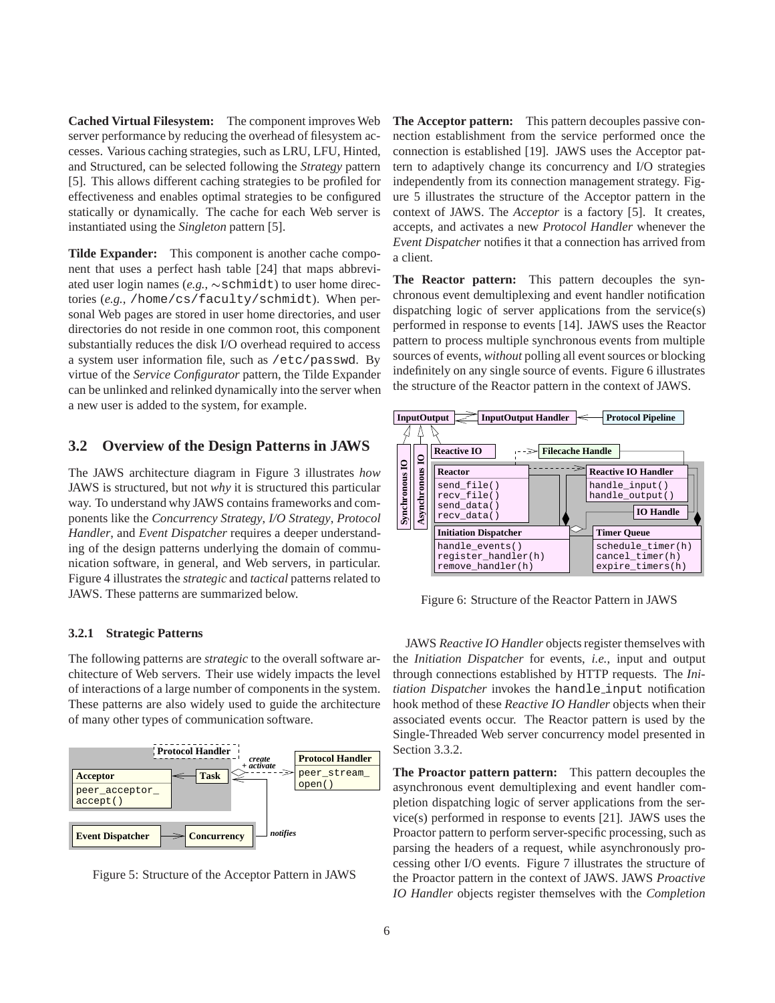**Cached Virtual Filesystem:** The component improves Web server performance by reducing the overhead of filesystem accesses. Various caching strategies, such as LRU, LFU, Hinted, and Structured, can be selected following the *Strategy* pattern [5]. This allows different caching strategies to be profiled for effectiveness and enables optimal strategies to be configured statically or dynamically. The cache for each Web server is instantiated using the *Singleton* pattern [5].

**Tilde Expander:** This component is another cache component that uses a perfect hash table [24] that maps abbreviated user login names  $(e.g., \sim \text{schmidt})$  to user home directories (*e.g.*, /home/cs/faculty/schmidt). When personal Web pages are stored in user home directories, and user directories do not reside in one common root, this component substantially reduces the disk I/O overhead required to access a system user information file, such as /etc/passwd. By virtue of the *Service Configurator* pattern, the Tilde Expander can be unlinked and relinked dynamically into the server when a new user is added to the system, for example.

## **3.2 Overview of the Design Patterns in JAWS**

The JAWS architecture diagram in Figure 3 illustrates *how* JAWS is structured, but not *why* it is structured this particular way. To understand why JAWS contains frameworks and components like the *Concurrency Strategy*, *I/O Strategy*, *Protocol Handler*, and *Event Dispatcher* requires a deeper understanding of the design patterns underlying the domain of communication software, in general, and Web servers, in particular. Figure 4 illustrates the *strategic* and *tactical* patterns related to JAWS. These patterns are summarized below.

### **3.2.1 Strategic Patterns**

The following patterns are *strategic* to the overall software architecture of Web servers. Their use widely impacts the level of interactions of a large number of components in the system. These patterns are also widely used to guide the architecture of many other types of communication software.



Figure 5: Structure of the Acceptor Pattern in JAWS

**The Acceptor pattern:** This pattern decouples passive connection establishment from the service performed once the connection is established [19]. JAWS uses the Acceptor pattern to adaptively change its concurrency and I/O strategies independently from its connection management strategy. Figure 5 illustrates the structure of the Acceptor pattern in the context of JAWS. The *Acceptor* is a factory [5]. It creates, accepts, and activates a new *Protocol Handler* whenever the *Event Dispatcher* notifies it that a connection has arrived from a client.

**The Reactor pattern:** This pattern decouples the synchronous event demultiplexing and event handler notification dispatching logic of server applications from the service(s) performed in response to events [14]. JAWS uses the Reactor pattern to process multiple synchronous events from multiple sources of events, *without* polling all event sources or blocking indefinitely on any single source of events. Figure 6 illustrates the structure of the Reactor pattern in the context of JAWS.



Figure 6: Structure of the Reactor Pattern in JAWS

JAWS *Reactive IO Handler* objects register themselves with the *Initiation Dispatcher* for events, *i.e.*, input and output through connections established by HTTP requests. The *Initiation Dispatcher* invokes the handle input notification hook method of these *Reactive IO Handler* objects when their associated events occur. The Reactor pattern is used by the Single-Threaded Web server concurrency model presented in Section 3.3.2.

**The Proactor pattern pattern:** This pattern decouples the asynchronous event demultiplexing and event handler completion dispatching logic of server applications from the service(s) performed in response to events [21]. JAWS uses the Proactor pattern to perform server-specific processing, such as parsing the headers of a request, while asynchronously processing other I/O events. Figure 7 illustrates the structure of the Proactor pattern in the context of JAWS. JAWS *Proactive IO Handler* objects register themselves with the *Completion*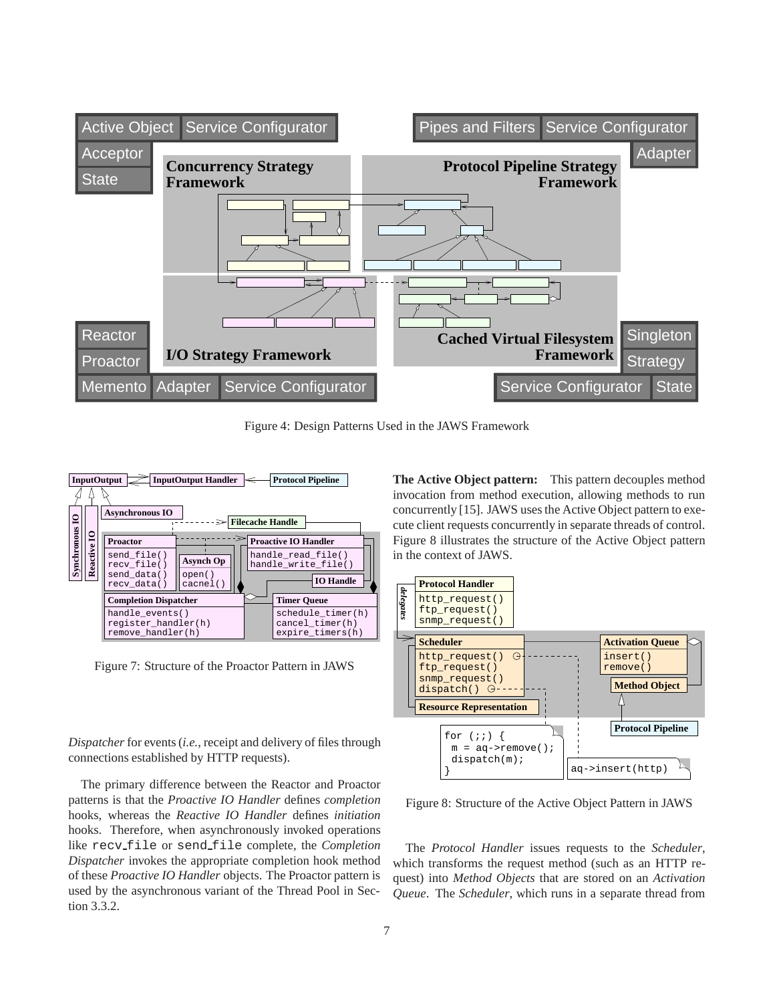

Figure 4: Design Patterns Used in the JAWS Framework



Figure 7: Structure of the Proactor Pattern in JAWS

*Dispatcher* for events (*i.e.*, receipt and delivery of files through connections established by HTTP requests).

The primary difference between the Reactor and Proactor patterns is that the *Proactive IO Handler* defines *completion* hooks, whereas the *Reactive IO Handler* defines *initiation* hooks. Therefore, when asynchronously invoked operations like recv file or send file complete, the *Completion Dispatcher* invokes the appropriate completion hook method of these *Proactive IO Handler* objects. The Proactor pattern is used by the asynchronous variant of the Thread Pool in Section 3.3.2.

**The Active Object pattern:** This pattern decouples method invocation from method execution, allowing methods to run concurrently [15]. JAWS uses the Active Object pattern to execute client requests concurrently in separate threads of control. Figure 8 illustrates the structure of the Active Object pattern in the context of JAWS.



Figure 8: Structure of the Active Object Pattern in JAWS

The *Protocol Handler* issues requests to the *Scheduler*, which transforms the request method (such as an HTTP request) into *Method Objects* that are stored on an *Activation Queue*. The *Scheduler*, which runs in a separate thread from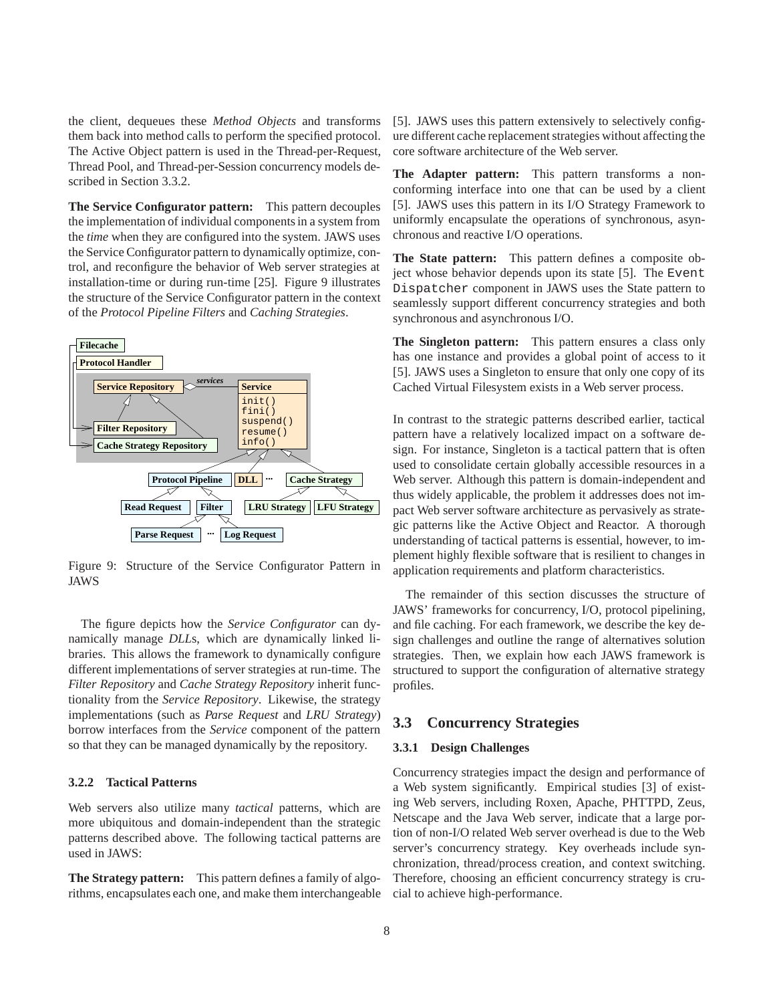the client, dequeues these *Method Objects* and transforms them back into method calls to perform the specified protocol. The Active Object pattern is used in the Thread-per-Request, Thread Pool, and Thread-per-Session concurrency models described in Section 3.3.2.

**The Service Configurator pattern:** This pattern decouples the implementation of individual components in a system from the *time* when they are configured into the system. JAWS uses the Service Configurator pattern to dynamically optimize, control, and reconfigure the behavior of Web server strategies at installation-time or during run-time [25]. Figure 9 illustrates the structure of the Service Configurator pattern in the context of the *Protocol Pipeline Filters* and *Caching Strategies*.



Figure 9: Structure of the Service Configurator Pattern in JAWS

The figure depicts how the *Service Configurator* can dynamically manage *DLL*s, which are dynamically linked libraries. This allows the framework to dynamically configure different implementations of server strategies at run-time. The *Filter Repository* and *Cache Strategy Repository* inherit functionality from the *Service Repository*. Likewise, the strategy implementations (such as *Parse Request* and *LRU Strategy*) borrow interfaces from the *Service* component of the pattern so that they can be managed dynamically by the repository.

#### **3.2.2 Tactical Patterns**

Web servers also utilize many *tactical* patterns, which are more ubiquitous and domain-independent than the strategic patterns described above. The following tactical patterns are used in JAWS:

**The Strategy pattern:** This pattern defines a family of algorithms, encapsulates each one, and make them interchangeable [5]. JAWS uses this pattern extensively to selectively configure different cache replacement strategies without affecting the core software architecture of the Web server.

**The Adapter pattern:** This pattern transforms a nonconforming interface into one that can be used by a client [5]. JAWS uses this pattern in its I/O Strategy Framework to uniformly encapsulate the operations of synchronous, asynchronous and reactive I/O operations.

**The State pattern:** This pattern defines a composite object whose behavior depends upon its state [5]. The Event Dispatcher component in JAWS uses the State pattern to seamlessly support different concurrency strategies and both synchronous and asynchronous I/O.

**The Singleton pattern:** This pattern ensures a class only has one instance and provides a global point of access to it [5]. JAWS uses a Singleton to ensure that only one copy of its Cached Virtual Filesystem exists in a Web server process.

In contrast to the strategic patterns described earlier, tactical pattern have a relatively localized impact on a software design. For instance, Singleton is a tactical pattern that is often used to consolidate certain globally accessible resources in a Web server. Although this pattern is domain-independent and thus widely applicable, the problem it addresses does not impact Web server software architecture as pervasively as strategic patterns like the Active Object and Reactor. A thorough understanding of tactical patterns is essential, however, to implement highly flexible software that is resilient to changes in application requirements and platform characteristics.

The remainder of this section discusses the structure of JAWS' frameworks for concurrency, I/O, protocol pipelining, and file caching. For each framework, we describe the key design challenges and outline the range of alternatives solution strategies. Then, we explain how each JAWS framework is structured to support the configuration of alternative strategy profiles.

## **3.3 Concurrency Strategies**

#### **3.3.1 Design Challenges**

Concurrency strategies impact the design and performance of a Web system significantly. Empirical studies [3] of existing Web servers, including Roxen, Apache, PHTTPD, Zeus, Netscape and the Java Web server, indicate that a large portion of non-I/O related Web server overhead is due to the Web server's concurrency strategy. Key overheads include synchronization, thread/process creation, and context switching. Therefore, choosing an efficient concurrency strategy is crucial to achieve high-performance.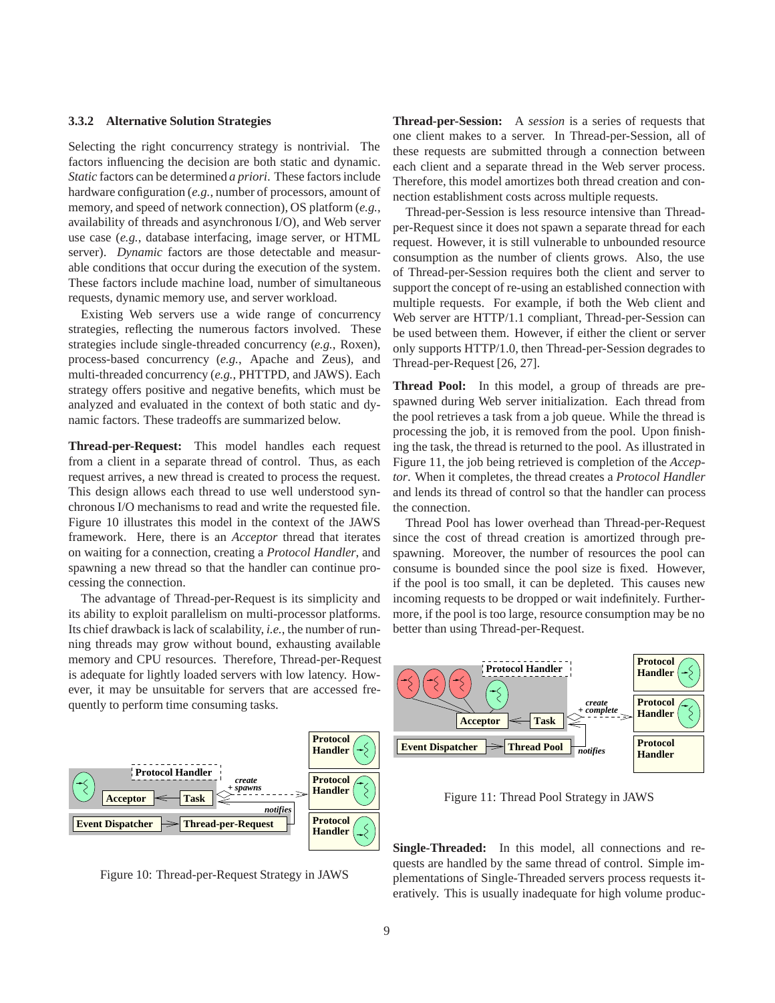#### **3.3.2 Alternative Solution Strategies**

Selecting the right concurrency strategy is nontrivial. The factors influencing the decision are both static and dynamic. *Static* factors can be determined *a priori*. These factors include hardware configuration (*e.g.*, number of processors, amount of memory, and speed of network connection), OS platform (*e.g.*, availability of threads and asynchronous I/O), and Web server use case (*e.g.*, database interfacing, image server, or HTML server). *Dynamic* factors are those detectable and measurable conditions that occur during the execution of the system. These factors include machine load, number of simultaneous requests, dynamic memory use, and server workload.

Existing Web servers use a wide range of concurrency strategies, reflecting the numerous factors involved. These strategies include single-threaded concurrency (*e.g.*, Roxen), process-based concurrency (*e.g.*, Apache and Zeus), and multi-threaded concurrency (*e.g.*, PHTTPD, and JAWS). Each strategy offers positive and negative benefits, which must be analyzed and evaluated in the context of both static and dynamic factors. These tradeoffs are summarized below.

**Thread-per-Request:** This model handles each request from a client in a separate thread of control. Thus, as each request arrives, a new thread is created to process the request. This design allows each thread to use well understood synchronous I/O mechanisms to read and write the requested file. Figure 10 illustrates this model in the context of the JAWS framework. Here, there is an *Acceptor* thread that iterates on waiting for a connection, creating a *Protocol Handler*, and spawning a new thread so that the handler can continue processing the connection.

The advantage of Thread-per-Request is its simplicity and its ability to exploit parallelism on multi-processor platforms. Its chief drawback is lack of scalability, *i.e.*, the number of running threads may grow without bound, exhausting available memory and CPU resources. Therefore, Thread-per-Request is adequate for lightly loaded servers with low latency. However, it may be unsuitable for servers that are accessed frequently to perform time consuming tasks.



Figure 10: Thread-per-Request Strategy in JAWS

**Thread-per-Session:** A *session* is a series of requests that one client makes to a server. In Thread-per-Session, all of these requests are submitted through a connection between each client and a separate thread in the Web server process. Therefore, this model amortizes both thread creation and connection establishment costs across multiple requests.

Thread-per-Session is less resource intensive than Threadper-Request since it does not spawn a separate thread for each request. However, it is still vulnerable to unbounded resource consumption as the number of clients grows. Also, the use of Thread-per-Session requires both the client and server to support the concept of re-using an established connection with multiple requests. For example, if both the Web client and Web server are HTTP/1.1 compliant, Thread-per-Session can be used between them. However, if either the client or server only supports HTTP/1.0, then Thread-per-Session degrades to Thread-per-Request [26, 27].

**Thread Pool:** In this model, a group of threads are prespawned during Web server initialization. Each thread from the pool retrieves a task from a job queue. While the thread is processing the job, it is removed from the pool. Upon finishing the task, the thread is returned to the pool. As illustrated in Figure 11, the job being retrieved is completion of the *Acceptor*. When it completes, the thread creates a *Protocol Handler* and lends its thread of control so that the handler can process the connection.

Thread Pool has lower overhead than Thread-per-Request since the cost of thread creation is amortized through prespawning. Moreover, the number of resources the pool can consume is bounded since the pool size is fixed. However, if the pool is too small, it can be depleted. This causes new incoming requests to be dropped or wait indefinitely. Furthermore, if the pool is too large, resource consumption may be no better than using Thread-per-Request.



Figure 11: Thread Pool Strategy in JAWS

**Single-Threaded:** In this model, all connections and requests are handled by the same thread of control. Simple implementations of Single-Threaded servers process requests iteratively. This is usually inadequate for high volume produc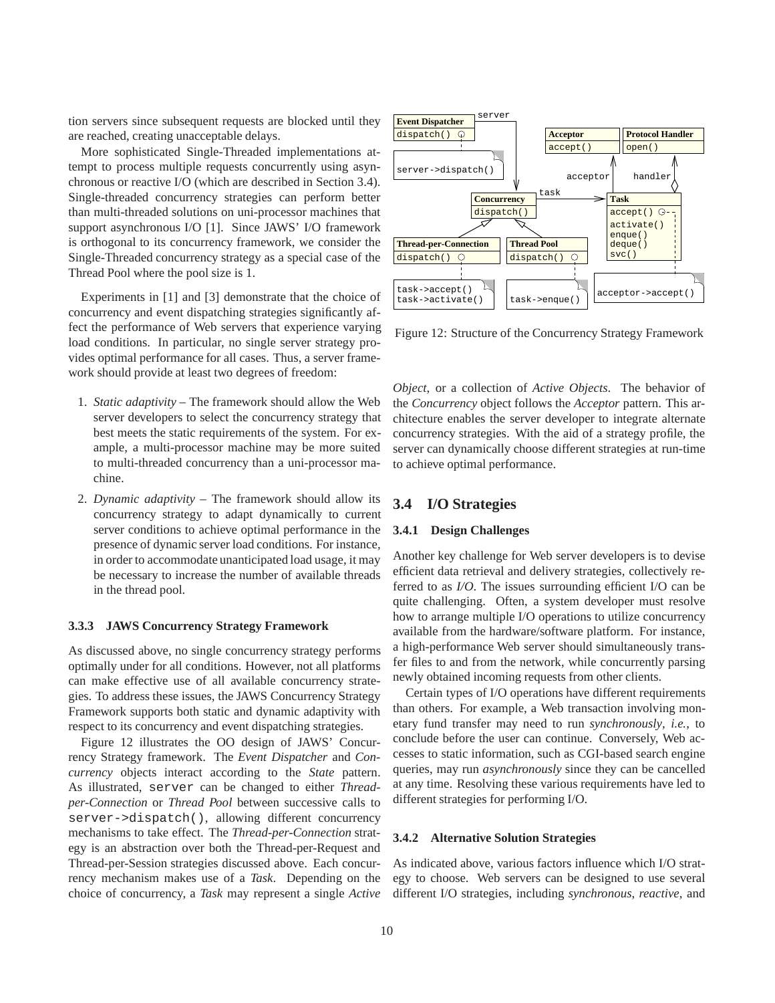tion servers since subsequent requests are blocked until they are reached, creating unacceptable delays.

More sophisticated Single-Threaded implementations attempt to process multiple requests concurrently using asynchronous or reactive I/O (which are described in Section 3.4). Single-threaded concurrency strategies can perform better than multi-threaded solutions on uni-processor machines that support asynchronous I/O [1]. Since JAWS' I/O framework is orthogonal to its concurrency framework, we consider the Single-Threaded concurrency strategy as a special case of the Thread Pool where the pool size is 1.

Experiments in [1] and [3] demonstrate that the choice of concurrency and event dispatching strategies significantly affect the performance of Web servers that experience varying load conditions. In particular, no single server strategy provides optimal performance for all cases. Thus, a server framework should provide at least two degrees of freedom:

- 1. *Static adaptivity* The framework should allow the Web server developers to select the concurrency strategy that best meets the static requirements of the system. For example, a multi-processor machine may be more suited to multi-threaded concurrency than a uni-processor machine.
- 2. *Dynamic adaptivity* The framework should allow its concurrency strategy to adapt dynamically to current server conditions to achieve optimal performance in the presence of dynamic server load conditions. For instance, in order to accommodate unanticipated load usage, it may be necessary to increase the number of available threads in the thread pool.

#### **3.3.3 JAWS Concurrency Strategy Framework**

As discussed above, no single concurrency strategy performs optimally under for all conditions. However, not all platforms can make effective use of all available concurrency strategies. To address these issues, the JAWS Concurrency Strategy Framework supports both static and dynamic adaptivity with respect to its concurrency and event dispatching strategies.

Figure 12 illustrates the OO design of JAWS' Concurrency Strategy framework. The *Event Dispatcher* and *Concurrency* objects interact according to the *State* pattern. As illustrated, server can be changed to either *Threadper-Connection* or *Thread Pool* between successive calls to server->dispatch(), allowing different concurrency mechanisms to take effect. The *Thread-per-Connection* strategy is an abstraction over both the Thread-per-Request and Thread-per-Session strategies discussed above. Each concurrency mechanism makes use of a *Task*. Depending on the choice of concurrency, a *Task* may represent a single *Active*



Figure 12: Structure of the Concurrency Strategy Framework

*Object*, or a collection of *Active Objects*. The behavior of the *Concurrency* object follows the *Acceptor* pattern. This architecture enables the server developer to integrate alternate concurrency strategies. With the aid of a strategy profile, the server can dynamically choose different strategies at run-time to achieve optimal performance.

## **3.4 I/O Strategies**

#### **3.4.1 Design Challenges**

Another key challenge for Web server developers is to devise efficient data retrieval and delivery strategies, collectively referred to as *I/O*. The issues surrounding efficient I/O can be quite challenging. Often, a system developer must resolve how to arrange multiple I/O operations to utilize concurrency available from the hardware/software platform. For instance, a high-performance Web server should simultaneously transfer files to and from the network, while concurrently parsing newly obtained incoming requests from other clients.

Certain types of I/O operations have different requirements than others. For example, a Web transaction involving monetary fund transfer may need to run *synchronously*, *i.e.*, to conclude before the user can continue. Conversely, Web accesses to static information, such as CGI-based search engine queries, may run *asynchronously* since they can be cancelled at any time. Resolving these various requirements have led to different strategies for performing I/O.

#### **3.4.2 Alternative Solution Strategies**

As indicated above, various factors influence which I/O strategy to choose. Web servers can be designed to use several different I/O strategies, including *synchronous*, *reactive*, and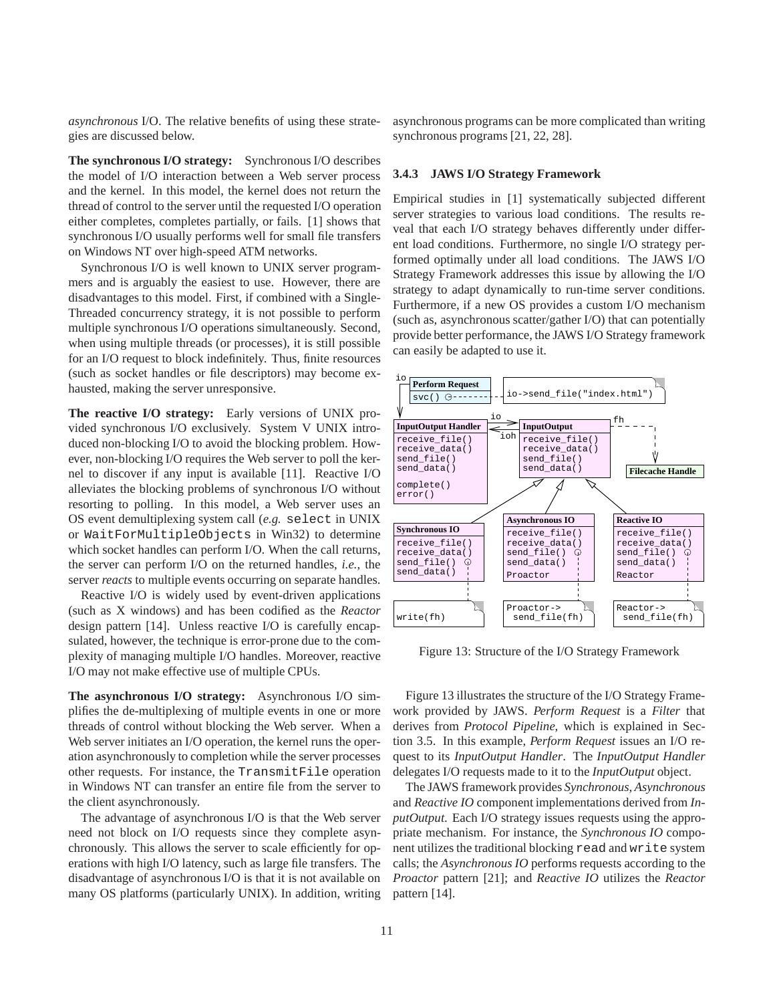*asynchronous* I/O. The relative benefits of using these strategies are discussed below.

**The synchronous I/O strategy:** Synchronous I/O describes the model of I/O interaction between a Web server process and the kernel. In this model, the kernel does not return the thread of control to the server until the requested I/O operation either completes, completes partially, or fails. [1] shows that synchronous I/O usually performs well for small file transfers on Windows NT over high-speed ATM networks.

Synchronous I/O is well known to UNIX server programmers and is arguably the easiest to use. However, there are disadvantages to this model. First, if combined with a Single-Threaded concurrency strategy, it is not possible to perform multiple synchronous I/O operations simultaneously. Second, when using multiple threads (or processes), it is still possible for an I/O request to block indefinitely. Thus, finite resources (such as socket handles or file descriptors) may become exhausted, making the server unresponsive.

**The reactive I/O strategy:** Early versions of UNIX provided synchronous I/O exclusively. System V UNIX introduced non-blocking I/O to avoid the blocking problem. However, non-blocking I/O requires the Web server to poll the kernel to discover if any input is available [11]. Reactive I/O alleviates the blocking problems of synchronous I/O without resorting to polling. In this model, a Web server uses an OS event demultiplexing system call (*e.g.* select in UNIX or WaitForMultipleObjects in Win32) to determine which socket handles can perform I/O. When the call returns, the server can perform I/O on the returned handles, *i.e.*, the server *reacts* to multiple events occurring on separate handles.

Reactive I/O is widely used by event-driven applications (such as X windows) and has been codified as the *Reactor* design pattern [14]. Unless reactive I/O is carefully encapsulated, however, the technique is error-prone due to the complexity of managing multiple I/O handles. Moreover, reactive I/O may not make effective use of multiple CPUs.

**The asynchronous I/O strategy:** Asynchronous I/O simplifies the de-multiplexing of multiple events in one or more threads of control without blocking the Web server. When a Web server initiates an I/O operation, the kernel runs the operation asynchronously to completion while the server processes other requests. For instance, the TransmitFile operation in Windows NT can transfer an entire file from the server to the client asynchronously.

The advantage of asynchronous I/O is that the Web server need not block on I/O requests since they complete asynchronously. This allows the server to scale efficiently for operations with high I/O latency, such as large file transfers. The disadvantage of asynchronous I/O is that it is not available on many OS platforms (particularly UNIX). In addition, writing asynchronous programs can be more complicated than writing synchronous programs [21, 22, 28].

#### **3.4.3 JAWS I/O Strategy Framework**

Empirical studies in [1] systematically subjected different server strategies to various load conditions. The results reveal that each I/O strategy behaves differently under different load conditions. Furthermore, no single I/O strategy performed optimally under all load conditions. The JAWS I/O Strategy Framework addresses this issue by allowing the I/O strategy to adapt dynamically to run-time server conditions. Furthermore, if a new OS provides a custom I/O mechanism (such as, asynchronous scatter/gather I/O) that can potentially provide better performance, the JAWS I/O Strategy framework can easily be adapted to use it.



Figure 13: Structure of the I/O Strategy Framework

Figure 13 illustrates the structure of the I/O Strategy Framework provided by JAWS. *Perform Request* is a *Filter* that derives from *Protocol Pipeline*, which is explained in Section 3.5. In this example, *Perform Request* issues an I/O request to its *InputOutput Handler*. The *InputOutput Handler* delegates I/O requests made to it to the *InputOutput* object.

The JAWS framework provides *Synchronous*, *Asynchronous* and *Reactive IO* component implementations derived from *InputOutput*. Each I/O strategy issues requests using the appropriate mechanism. For instance, the *Synchronous IO* component utilizes the traditional blocking read and write system calls; the *Asynchronous IO* performs requests according to the *Proactor* pattern [21]; and *Reactive IO* utilizes the *Reactor* pattern [14].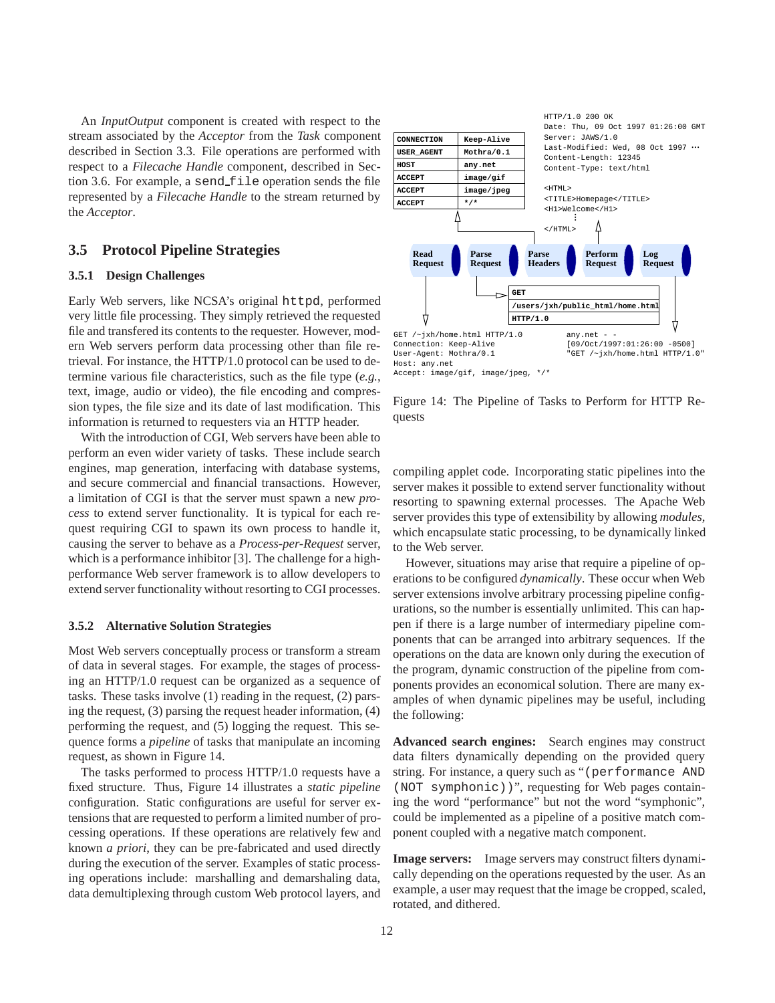An *InputOutput* component is created with respect to the stream associated by the *Acceptor* from the *Task* component described in Section 3.3. File operations are performed with respect to a *Filecache Handle* component, described in Section 3.6. For example, a send\_file operation sends the file represented by a *Filecache Handle* to the stream returned by the *Acceptor*.

## **3.5 Protocol Pipeline Strategies**

#### **3.5.1 Design Challenges**

Early Web servers, like NCSA's original httpd, performed very little file processing. They simply retrieved the requested file and transfered its contents to the requester. However, modern Web servers perform data processing other than file retrieval. For instance, the HTTP/1.0 protocol can be used to determine various file characteristics, such as the file type (*e.g.*, text, image, audio or video), the file encoding and compression types, the file size and its date of last modification. This information is returned to requesters via an HTTP header.

With the introduction of CGI, Web servers have been able to perform an even wider variety of tasks. These include search engines, map generation, interfacing with database systems, and secure commercial and financial transactions. However, a limitation of CGI is that the server must spawn a new *process* to extend server functionality. It is typical for each request requiring CGI to spawn its own process to handle it, causing the server to behave as a *Process-per-Request* server, which is a performance inhibitor [3]. The challenge for a highperformance Web server framework is to allow developers to extend server functionality without resorting to CGI processes.

#### **3.5.2 Alternative Solution Strategies**

Most Web servers conceptually process or transform a stream of data in several stages. For example, the stages of processing an HTTP/1.0 request can be organized as a sequence of tasks. These tasks involve (1) reading in the request, (2) parsing the request, (3) parsing the request header information, (4) performing the request, and (5) logging the request. This sequence forms a *pipeline* of tasks that manipulate an incoming request, as shown in Figure 14.

The tasks performed to process HTTP/1.0 requests have a fixed structure. Thus, Figure 14 illustrates a *static pipeline* configuration. Static configurations are useful for server extensions that are requested to perform a limited number of processing operations. If these operations are relatively few and known *a priori*, they can be pre-fabricated and used directly during the execution of the server. Examples of static processing operations include: marshalling and demarshaling data, data demultiplexing through custom Web protocol layers, and



Figure 14: The Pipeline of Tasks to Perform for HTTP Requests

compiling applet code. Incorporating static pipelines into the server makes it possible to extend server functionality without resorting to spawning external processes. The Apache Web server provides this type of extensibility by allowing *modules*, which encapsulate static processing, to be dynamically linked to the Web server.

However, situations may arise that require a pipeline of operations to be configured *dynamically*. These occur when Web server extensions involve arbitrary processing pipeline configurations, so the number is essentially unlimited. This can happen if there is a large number of intermediary pipeline components that can be arranged into arbitrary sequences. If the operations on the data are known only during the execution of the program, dynamic construction of the pipeline from components provides an economical solution. There are many examples of when dynamic pipelines may be useful, including the following:

**Advanced search engines:** Search engines may construct data filters dynamically depending on the provided query string. For instance, a query such as "(performance AND (NOT symphonic))", requesting for Web pages containing the word "performance" but not the word "symphonic", could be implemented as a pipeline of a positive match component coupled with a negative match component.

**Image servers:** Image servers may construct filters dynamically depending on the operations requested by the user. As an example, a user may request that the image be cropped, scaled, rotated, and dithered.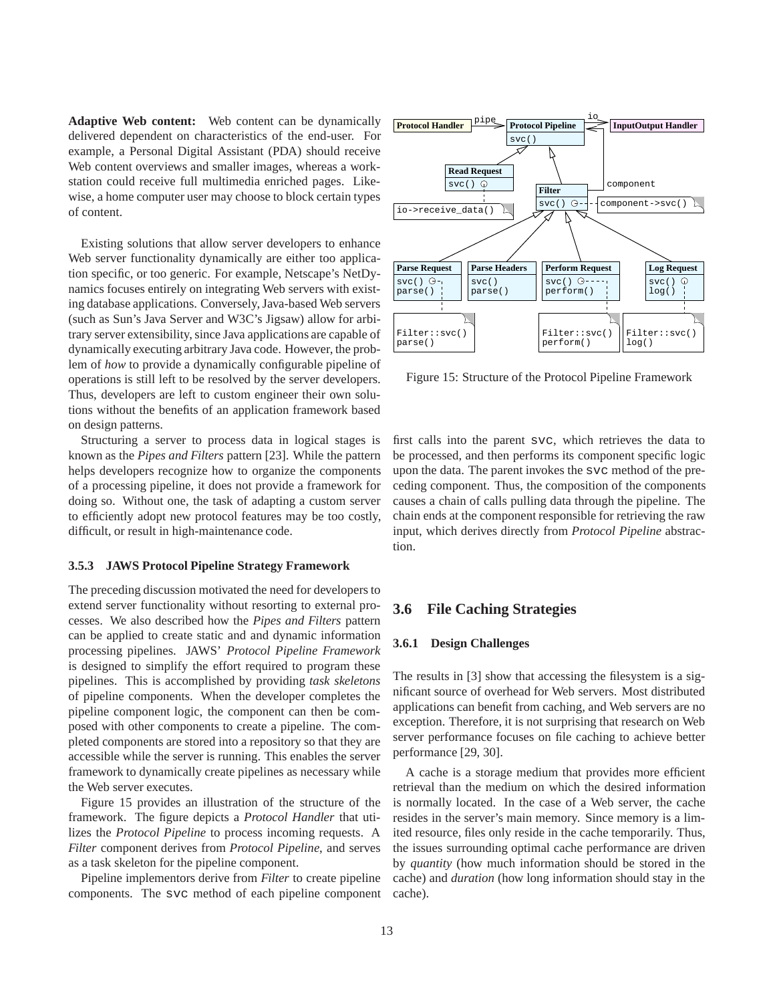**Adaptive Web content:** Web content can be dynamically delivered dependent on characteristics of the end-user. For example, a Personal Digital Assistant (PDA) should receive Web content overviews and smaller images, whereas a workstation could receive full multimedia enriched pages. Likewise, a home computer user may choose to block certain types of content.

Existing solutions that allow server developers to enhance Web server functionality dynamically are either too application specific, or too generic. For example, Netscape's NetDynamics focuses entirely on integrating Web servers with existing database applications. Conversely, Java-based Web servers (such as Sun's Java Server and W3C's Jigsaw) allow for arbitrary server extensibility, since Java applications are capable of dynamically executing arbitrary Java code. However, the problem of *how* to provide a dynamically configurable pipeline of operations is still left to be resolved by the server developers. Thus, developers are left to custom engineer their own solutions without the benefits of an application framework based on design patterns.

Structuring a server to process data in logical stages is known as the *Pipes and Filters* pattern [23]. While the pattern helps developers recognize how to organize the components of a processing pipeline, it does not provide a framework for doing so. Without one, the task of adapting a custom server to efficiently adopt new protocol features may be too costly, difficult, or result in high-maintenance code.

#### **3.5.3 JAWS Protocol Pipeline Strategy Framework**

The preceding discussion motivated the need for developers to extend server functionality without resorting to external processes. We also described how the *Pipes and Filters* pattern can be applied to create static and and dynamic information processing pipelines. JAWS' *Protocol Pipeline Framework* is designed to simplify the effort required to program these pipelines. This is accomplished by providing *task skeletons* of pipeline components. When the developer completes the pipeline component logic, the component can then be composed with other components to create a pipeline. The completed components are stored into a repository so that they are accessible while the server is running. This enables the server framework to dynamically create pipelines as necessary while the Web server executes.

Figure 15 provides an illustration of the structure of the framework. The figure depicts a *Protocol Handler* that utilizes the *Protocol Pipeline* to process incoming requests. A *Filter* component derives from *Protocol Pipeline*, and serves as a task skeleton for the pipeline component.

Pipeline implementors derive from *Filter* to create pipeline components. The svc method of each pipeline component



Figure 15: Structure of the Protocol Pipeline Framework

first calls into the parent svc, which retrieves the data to be processed, and then performs its component specific logic upon the data. The parent invokes the svc method of the preceding component. Thus, the composition of the components causes a chain of calls pulling data through the pipeline. The chain ends at the component responsible for retrieving the raw input, which derives directly from *Protocol Pipeline* abstraction.

## **3.6 File Caching Strategies**

#### **3.6.1 Design Challenges**

The results in [3] show that accessing the filesystem is a significant source of overhead for Web servers. Most distributed applications can benefit from caching, and Web servers are no exception. Therefore, it is not surprising that research on Web server performance focuses on file caching to achieve better performance [29, 30].

A cache is a storage medium that provides more efficient retrieval than the medium on which the desired information is normally located. In the case of a Web server, the cache resides in the server's main memory. Since memory is a limited resource, files only reside in the cache temporarily. Thus, the issues surrounding optimal cache performance are driven by *quantity* (how much information should be stored in the cache) and *duration* (how long information should stay in the cache).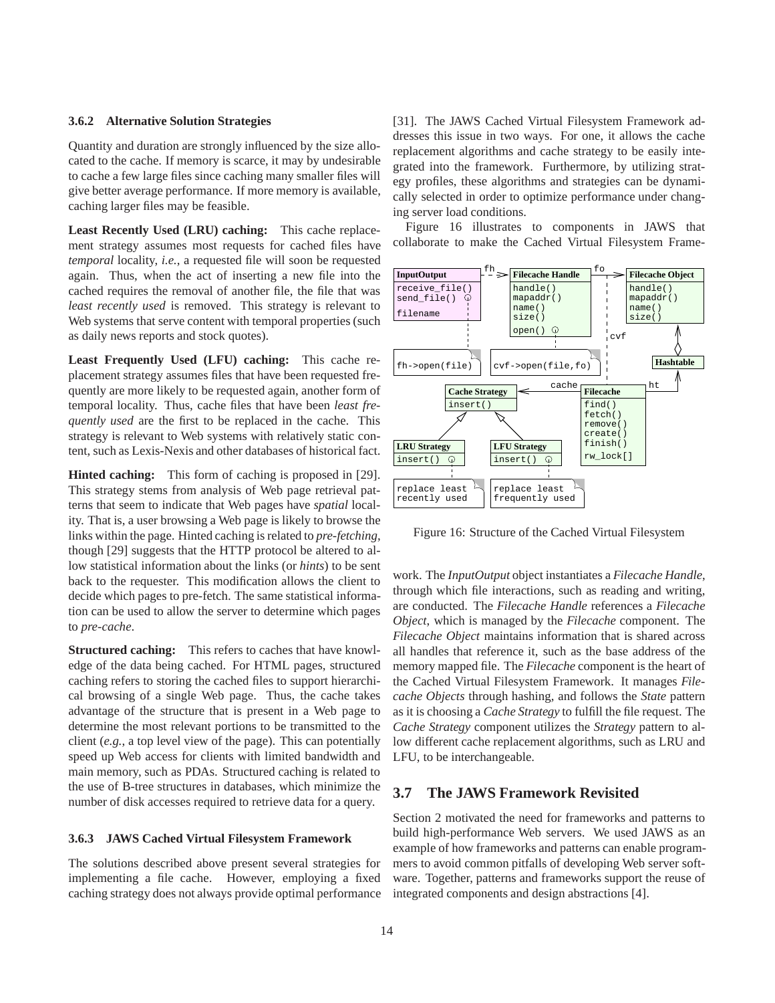### **3.6.2 Alternative Solution Strategies**

Quantity and duration are strongly influenced by the size allocated to the cache. If memory is scarce, it may by undesirable to cache a few large files since caching many smaller files will give better average performance. If more memory is available, caching larger files may be feasible.

**Least Recently Used (LRU) caching:** This cache replacement strategy assumes most requests for cached files have *temporal* locality, *i.e.*, a requested file will soon be requested again. Thus, when the act of inserting a new file into the cached requires the removal of another file, the file that was *least recently used* is removed. This strategy is relevant to Web systems that serve content with temporal properties (such as daily news reports and stock quotes).

**Least Frequently Used (LFU) caching:** This cache replacement strategy assumes files that have been requested frequently are more likely to be requested again, another form of temporal locality. Thus, cache files that have been *least frequently used* are the first to be replaced in the cache. This strategy is relevant to Web systems with relatively static content, such as Lexis-Nexis and other databases of historical fact.

**Hinted caching:** This form of caching is proposed in [29]. This strategy stems from analysis of Web page retrieval patterns that seem to indicate that Web pages have *spatial* locality. That is, a user browsing a Web page is likely to browse the links within the page. Hinted caching is related to *pre-fetching*, though [29] suggests that the HTTP protocol be altered to allow statistical information about the links (or *hints*) to be sent back to the requester. This modification allows the client to decide which pages to pre-fetch. The same statistical information can be used to allow the server to determine which pages to *pre-cache*.

**Structured caching:** This refers to caches that have knowledge of the data being cached. For HTML pages, structured caching refers to storing the cached files to support hierarchical browsing of a single Web page. Thus, the cache takes advantage of the structure that is present in a Web page to determine the most relevant portions to be transmitted to the client (*e.g.*, a top level view of the page). This can potentially speed up Web access for clients with limited bandwidth and main memory, such as PDAs. Structured caching is related to the use of B-tree structures in databases, which minimize the number of disk accesses required to retrieve data for a query.

#### **3.6.3 JAWS Cached Virtual Filesystem Framework**

The solutions described above present several strategies for implementing a file cache. However, employing a fixed caching strategy does not always provide optimal performance [31]. The JAWS Cached Virtual Filesystem Framework addresses this issue in two ways. For one, it allows the cache replacement algorithms and cache strategy to be easily integrated into the framework. Furthermore, by utilizing strategy profiles, these algorithms and strategies can be dynamically selected in order to optimize performance under changing server load conditions.

Figure 16 illustrates to components in JAWS that collaborate to make the Cached Virtual Filesystem Frame-



Figure 16: Structure of the Cached Virtual Filesystem

work. The *InputOutput* object instantiates a *Filecache Handle*, through which file interactions, such as reading and writing, are conducted. The *Filecache Handle* references a *Filecache Object*, which is managed by the *Filecache* component. The *Filecache Object* maintains information that is shared across all handles that reference it, such as the base address of the memory mapped file. The *Filecache* component is the heart of the Cached Virtual Filesystem Framework. It manages *Filecache Objects* through hashing, and follows the *State* pattern as it is choosing a *Cache Strategy* to fulfill the file request. The *Cache Strategy* component utilizes the *Strategy* pattern to allow different cache replacement algorithms, such as LRU and LFU, to be interchangeable.

## **3.7 The JAWS Framework Revisited**

Section 2 motivated the need for frameworks and patterns to build high-performance Web servers. We used JAWS as an example of how frameworks and patterns can enable programmers to avoid common pitfalls of developing Web server software. Together, patterns and frameworks support the reuse of integrated components and design abstractions [4].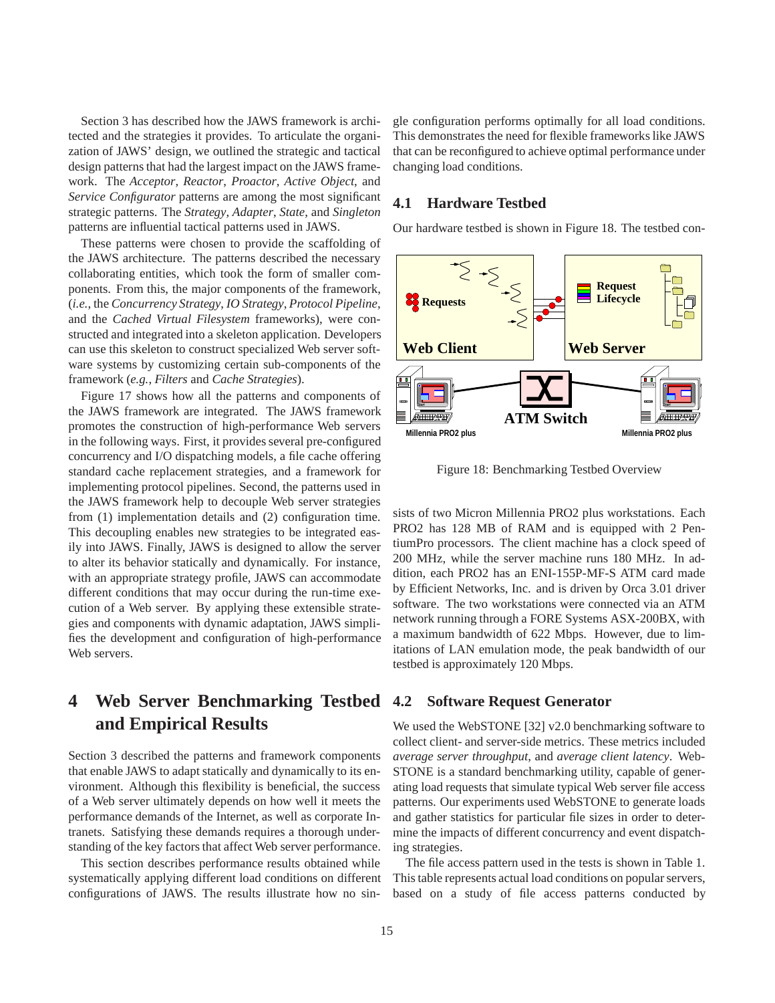Section 3 has described how the JAWS framework is architected and the strategies it provides. To articulate the organization of JAWS' design, we outlined the strategic and tactical design patterns that had the largest impact on the JAWS framework. The *Acceptor*, *Reactor*, *Proactor*, *Active Object*, and *Service Configurator* patterns are among the most significant strategic patterns. The *Strategy*, *Adapter*, *State*, and *Singleton* patterns are influential tactical patterns used in JAWS.

These patterns were chosen to provide the scaffolding of the JAWS architecture. The patterns described the necessary collaborating entities, which took the form of smaller components. From this, the major components of the framework, (*i.e.*, the *Concurrency Strategy*, *IO Strategy*, *Protocol Pipeline*, and the *Cached Virtual Filesystem* frameworks), were constructed and integrated into a skeleton application. Developers can use this skeleton to construct specialized Web server software systems by customizing certain sub-components of the framework (*e.g.*, *Filters* and *Cache Strategies*).

Figure 17 shows how all the patterns and components of the JAWS framework are integrated. The JAWS framework promotes the construction of high-performance Web servers in the following ways. First, it provides several pre-configured concurrency and I/O dispatching models, a file cache offering standard cache replacement strategies, and a framework for implementing protocol pipelines. Second, the patterns used in the JAWS framework help to decouple Web server strategies from (1) implementation details and (2) configuration time. This decoupling enables new strategies to be integrated easily into JAWS. Finally, JAWS is designed to allow the server to alter its behavior statically and dynamically. For instance, with an appropriate strategy profile, JAWS can accommodate different conditions that may occur during the run-time execution of a Web server. By applying these extensible strategies and components with dynamic adaptation, JAWS simplifies the development and configuration of high-performance Web servers.

# **4 Web Server Benchmarking Testbed and Empirical Results**

Section 3 described the patterns and framework components that enable JAWS to adapt statically and dynamically to its environment. Although this flexibility is beneficial, the success of a Web server ultimately depends on how well it meets the performance demands of the Internet, as well as corporate Intranets. Satisfying these demands requires a thorough understanding of the key factors that affect Web server performance.

This section describes performance results obtained while systematically applying different load conditions on different configurations of JAWS. The results illustrate how no single configuration performs optimally for all load conditions. This demonstrates the need for flexible frameworks like JAWS that can be reconfigured to achieve optimal performance under changing load conditions.

## **4.1 Hardware Testbed**

Our hardware testbed is shown in Figure 18. The testbed con-



Figure 18: Benchmarking Testbed Overview

sists of two Micron Millennia PRO2 plus workstations. Each PRO2 has 128 MB of RAM and is equipped with 2 PentiumPro processors. The client machine has a clock speed of 200 MHz, while the server machine runs 180 MHz. In addition, each PRO2 has an ENI-155P-MF-S ATM card made by Efficient Networks, Inc. and is driven by Orca 3.01 driver software. The two workstations were connected via an ATM network running through a FORE Systems ASX-200BX, with a maximum bandwidth of 622 Mbps. However, due to limitations of LAN emulation mode, the peak bandwidth of our testbed is approximately 120 Mbps.

## **4.2 Software Request Generator**

We used the WebSTONE [32] v2.0 benchmarking software to collect client- and server-side metrics. These metrics included *average server throughput*, and *average client latency*. Web-STONE is a standard benchmarking utility, capable of generating load requests that simulate typical Web server file access patterns. Our experiments used WebSTONE to generate loads and gather statistics for particular file sizes in order to determine the impacts of different concurrency and event dispatching strategies.

The file access pattern used in the tests is shown in Table 1. This table represents actual load conditions on popular servers, based on a study of file access patterns conducted by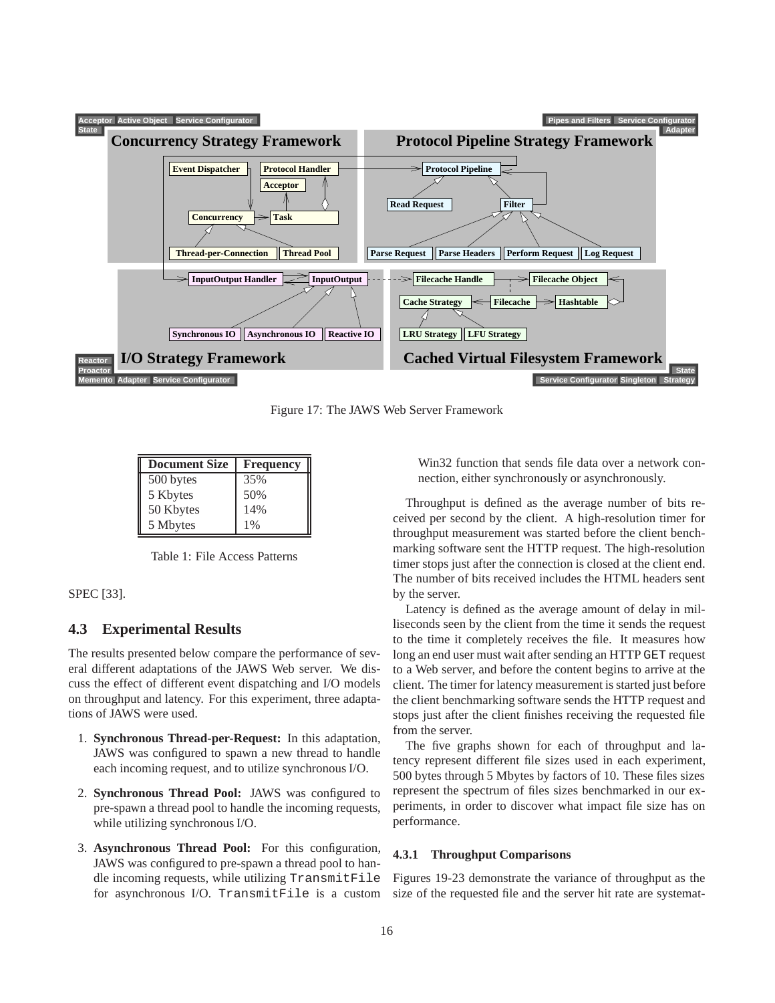

Figure 17: The JAWS Web Server Framework

| <b>Document Size</b> | <b>Frequency</b> |
|----------------------|------------------|
| 500 bytes            | 35%              |
| 5 Kbytes             | 50%              |
| 50 Kbytes            | 14%              |
| 5 Mbytes             | $1\%$            |

Table 1: File Access Patterns

SPEC [33].

## **4.3 Experimental Results**

The results presented below compare the performance of several different adaptations of the JAWS Web server. We discuss the effect of different event dispatching and I/O models on throughput and latency. For this experiment, three adaptations of JAWS were used.

- 1. **Synchronous Thread-per-Request:** In this adaptation, JAWS was configured to spawn a new thread to handle each incoming request, and to utilize synchronous I/O.
- 2. **Synchronous Thread Pool:** JAWS was configured to pre-spawn a thread pool to handle the incoming requests, while utilizing synchronous I/O.
- 3. **Asynchronous Thread Pool:** For this configuration, JAWS was configured to pre-spawn a thread pool to handle incoming requests, while utilizing TransmitFile for asynchronous I/O. TransmitFile is a custom

Win32 function that sends file data over a network connection, either synchronously or asynchronously.

Throughput is defined as the average number of bits received per second by the client. A high-resolution timer for throughput measurement was started before the client benchmarking software sent the HTTP request. The high-resolution timer stops just after the connection is closed at the client end. The number of bits received includes the HTML headers sent by the server.

Latency is defined as the average amount of delay in milliseconds seen by the client from the time it sends the request to the time it completely receives the file. It measures how long an end user must wait after sending an HTTP GET request to a Web server, and before the content begins to arrive at the client. The timer for latency measurement is started just before the client benchmarking software sends the HTTP request and stops just after the client finishes receiving the requested file from the server.

The five graphs shown for each of throughput and latency represent different file sizes used in each experiment, 500 bytes through 5 Mbytes by factors of 10. These files sizes represent the spectrum of files sizes benchmarked in our experiments, in order to discover what impact file size has on performance.

### **4.3.1 Throughput Comparisons**

Figures 19-23 demonstrate the variance of throughput as the size of the requested file and the server hit rate are systemat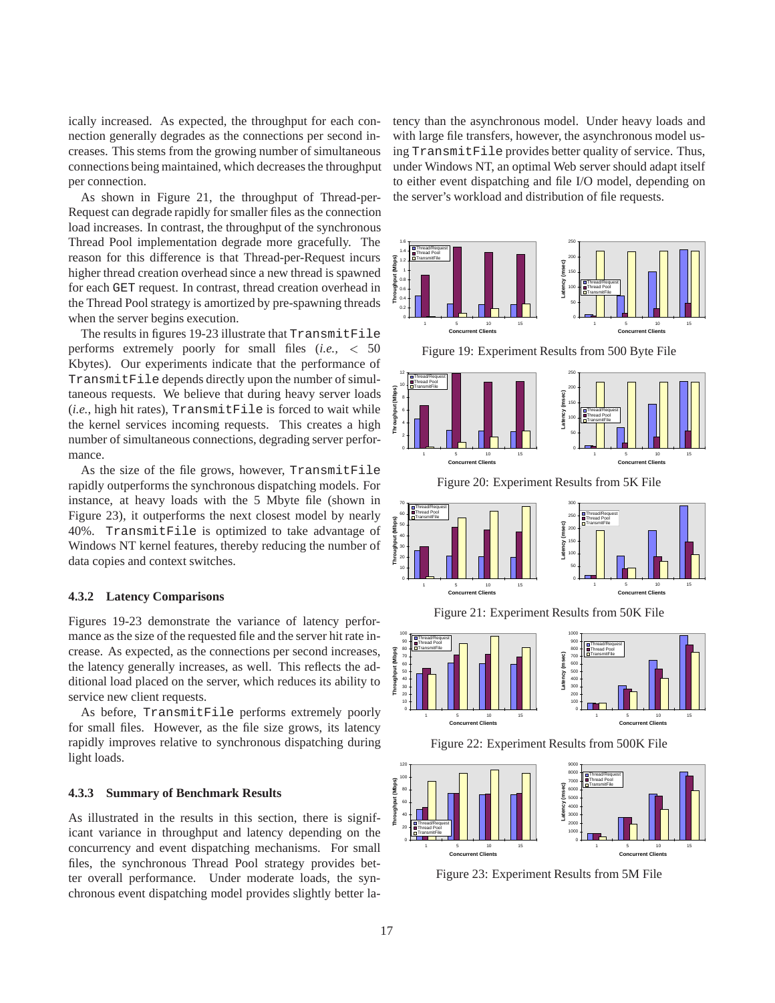ically increased. As expected, the throughput for each connection generally degrades as the connections per second increases. This stems from the growing number of simultaneous connections being maintained, which decreases the throughput per connection.

As shown in Figure 21, the throughput of Thread-per-Request can degrade rapidly for smaller files as the connection load increases. In contrast, the throughput of the synchronous Thread Pool implementation degrade more gracefully. The reason for this difference is that Thread-per-Request incurs higher thread creation overhead since a new thread is spawned for each GET request. In contrast, thread creation overhead in the Thread Pool strategy is amortized by pre-spawning threads when the server begins execution.

The results in figures 19-23 illustrate that TransmitFile performs extremely poorly for small files (*i.e.,* <sup>&</sup>lt; 50 Kbytes). Our experiments indicate that the performance of TransmitFile depends directly upon the number of simultaneous requests. We believe that during heavy server loads (*i.e.*, high hit rates), TransmitFile is forced to wait while the kernel services incoming requests. This creates a high number of simultaneous connections, degrading server performance.

As the size of the file grows, however, TransmitFile rapidly outperforms the synchronous dispatching models. For instance, at heavy loads with the 5 Mbyte file (shown in Figure 23), it outperforms the next closest model by nearly 40%. TransmitFile is optimized to take advantage of Windows NT kernel features, thereby reducing the number of data copies and context switches.

#### **4.3.2 Latency Comparisons**

Figures 19-23 demonstrate the variance of latency performance as the size of the requested file and the server hit rate increase. As expected, as the connections per second increases, the latency generally increases, as well. This reflects the additional load placed on the server, which reduces its ability to service new client requests.

As before, TransmitFile performs extremely poorly for small files. However, as the file size grows, its latency rapidly improves relative to synchronous dispatching during light loads.

## **4.3.3 Summary of Benchmark Results**

As illustrated in the results in this section, there is significant variance in throughput and latency depending on the concurrency and event dispatching mechanisms. For small files, the synchronous Thread Pool strategy provides better overall performance. Under moderate loads, the synchronous event dispatching model provides slightly better latency than the asynchronous model. Under heavy loads and with large file transfers, however, the asynchronous model using TransmitFile provides better quality of service. Thus, under Windows NT, an optimal Web server should adapt itself to either event dispatching and file I/O model, depending on the server's workload and distribution of file requests.



Figure 19: Experiment Results from 500 Byte File



Figure 20: Experiment Results from 5K File



Figure 21: Experiment Results from 50K File







Figure 23: Experiment Results from 5M File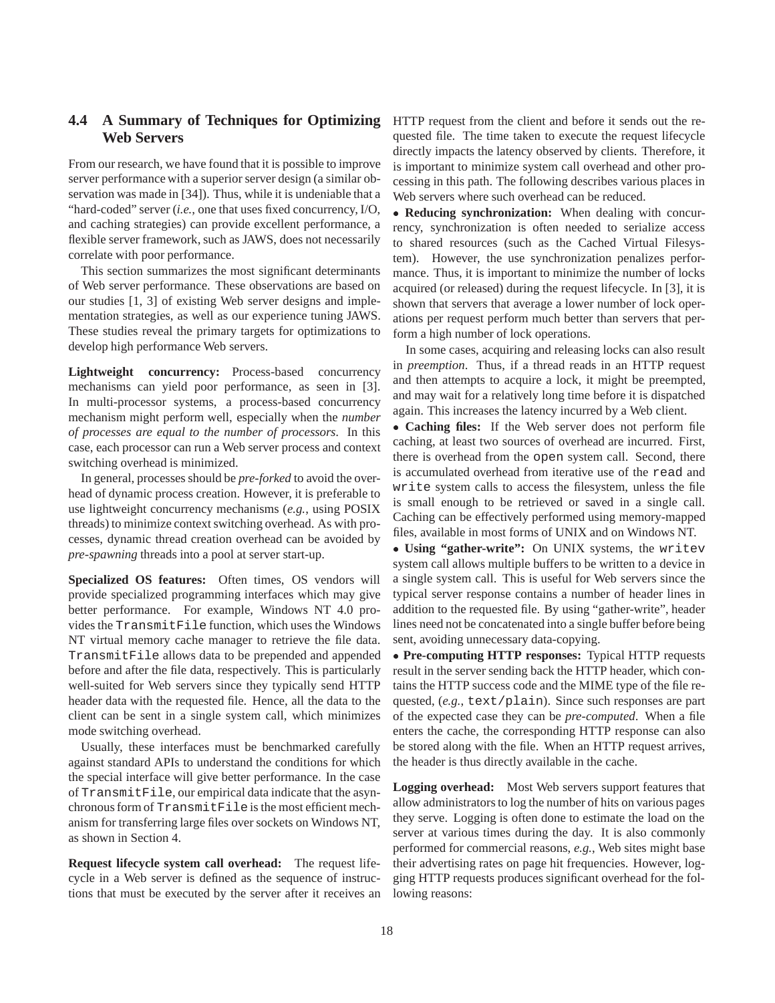## **4.4 A Summary of Techniques for Optimizing Web Servers**

From our research, we have found that it is possible to improve server performance with a superior server design (a similar observation was made in [34]). Thus, while it is undeniable that a "hard-coded" server (*i.e.*, one that uses fixed concurrency, I/O, and caching strategies) can provide excellent performance, a flexible server framework, such as JAWS, does not necessarily correlate with poor performance.

This section summarizes the most significant determinants of Web server performance. These observations are based on our studies [1, 3] of existing Web server designs and implementation strategies, as well as our experience tuning JAWS. These studies reveal the primary targets for optimizations to develop high performance Web servers.

**Lightweight concurrency:** Process-based concurrency mechanisms can yield poor performance, as seen in [3]. In multi-processor systems, a process-based concurrency mechanism might perform well, especially when the *number of processes are equal to the number of processors*. In this case, each processor can run a Web server process and context switching overhead is minimized.

In general, processes should be *pre-forked* to avoid the overhead of dynamic process creation. However, it is preferable to use lightweight concurrency mechanisms (*e.g.*, using POSIX threads) to minimize context switching overhead. As with processes, dynamic thread creation overhead can be avoided by *pre-spawning* threads into a pool at server start-up.

Specialized OS features: Often times, OS vendors will provide specialized programming interfaces which may give better performance. For example, Windows NT 4.0 provides the TransmitFile function, which uses the Windows NT virtual memory cache manager to retrieve the file data. TransmitFile allows data to be prepended and appended before and after the file data, respectively. This is particularly well-suited for Web servers since they typically send HTTP header data with the requested file. Hence, all the data to the client can be sent in a single system call, which minimizes mode switching overhead.

Usually, these interfaces must be benchmarked carefully against standard APIs to understand the conditions for which the special interface will give better performance. In the case of TransmitFile, our empirical data indicate that the asynchronous form of TransmitFile is the most efficient mechanism for transferring large files over sockets on Windows NT, as shown in Section 4.

**Request lifecycle system call overhead:** The request lifecycle in a Web server is defined as the sequence of instructions that must be executed by the server after it receives an HTTP request from the client and before it sends out the requested file. The time taken to execute the request lifecycle directly impacts the latency observed by clients. Therefore, it is important to minimize system call overhead and other processing in this path. The following describes various places in Web servers where such overhead can be reduced.

 **Reducing synchronization:** When dealing with concurrency, synchronization is often needed to serialize access to shared resources (such as the Cached Virtual Filesystem). However, the use synchronization penalizes performance. Thus, it is important to minimize the number of locks acquired (or released) during the request lifecycle. In [3], it is shown that servers that average a lower number of lock operations per request perform much better than servers that perform a high number of lock operations.

In some cases, acquiring and releasing locks can also result in *preemption*. Thus, if a thread reads in an HTTP request and then attempts to acquire a lock, it might be preempted, and may wait for a relatively long time before it is dispatched again. This increases the latency incurred by a Web client.

 **Caching files:** If the Web server does not perform file caching, at least two sources of overhead are incurred. First, there is overhead from the open system call. Second, there is accumulated overhead from iterative use of the read and write system calls to access the filesystem, unless the file is small enough to be retrieved or saved in a single call. Caching can be effectively performed using memory-mapped files, available in most forms of UNIX and on Windows NT.

 **Using "gather-write":** On UNIX systems, the writev system call allows multiple buffers to be written to a device in a single system call. This is useful for Web servers since the typical server response contains a number of header lines in addition to the requested file. By using "gather-write", header lines need not be concatenated into a single buffer before being sent, avoiding unnecessary data-copying.

 **Pre-computing HTTP responses:** Typical HTTP requests result in the server sending back the HTTP header, which contains the HTTP success code and the MIME type of the file requested, (*e.g.*, text/plain). Since such responses are part of the expected case they can be *pre-computed*. When a file enters the cache, the corresponding HTTP response can also be stored along with the file. When an HTTP request arrives, the header is thus directly available in the cache.

**Logging overhead:** Most Web servers support features that allow administrators to log the number of hits on various pages they serve. Logging is often done to estimate the load on the server at various times during the day. It is also commonly performed for commercial reasons, *e.g.*, Web sites might base their advertising rates on page hit frequencies. However, logging HTTP requests produces significant overhead for the following reasons: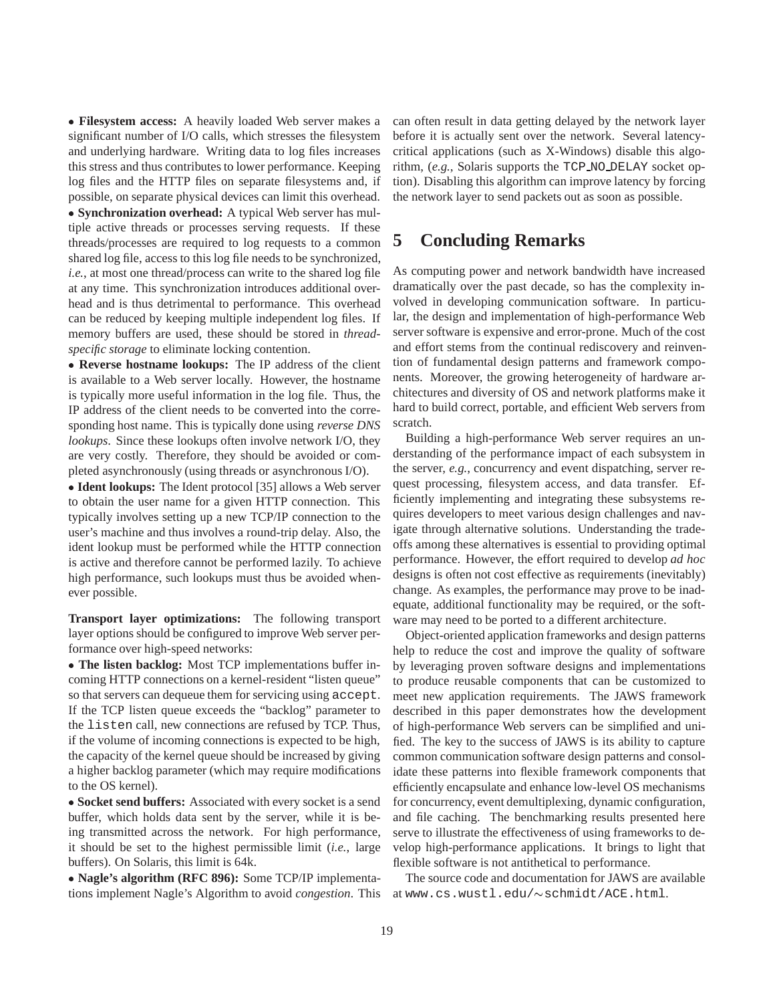**Filesystem access:** A heavily loaded Web server makes a significant number of I/O calls, which stresses the filesystem and underlying hardware. Writing data to log files increases this stress and thus contributes to lower performance. Keeping log files and the HTTP files on separate filesystems and, if possible, on separate physical devices can limit this overhead. **Synchronization overhead:** A typical Web server has multiple active threads or processes serving requests. If these threads/processes are required to log requests to a common shared log file, access to this log file needs to be synchronized, *i.e.*, at most one thread/process can write to the shared log file at any time. This synchronization introduces additional overhead and is thus detrimental to performance. This overhead can be reduced by keeping multiple independent log files. If

memory buffers are used, these should be stored in *threadspecific storage* to eliminate locking contention.

 **Reverse hostname lookups:** The IP address of the client is available to a Web server locally. However, the hostname is typically more useful information in the log file. Thus, the IP address of the client needs to be converted into the corresponding host name. This is typically done using *reverse DNS lookups*. Since these lookups often involve network I/O, they are very costly. Therefore, they should be avoided or completed asynchronously (using threads or asynchronous I/O).

 **Ident lookups:** The Ident protocol [35] allows a Web server to obtain the user name for a given HTTP connection. This typically involves setting up a new TCP/IP connection to the user's machine and thus involves a round-trip delay. Also, the ident lookup must be performed while the HTTP connection is active and therefore cannot be performed lazily. To achieve high performance, such lookups must thus be avoided whenever possible.

**Transport layer optimizations:** The following transport layer options should be configured to improve Web server performance over high-speed networks:

 **The listen backlog:** Most TCP implementations buffer incoming HTTP connections on a kernel-resident "listen queue" so that servers can dequeue them for servicing using accept. If the TCP listen queue exceeds the "backlog" parameter to the listen call, new connections are refused by TCP. Thus, if the volume of incoming connections is expected to be high, the capacity of the kernel queue should be increased by giving a higher backlog parameter (which may require modifications to the OS kernel).

 **Socket send buffers:** Associated with every socket is a send buffer, which holds data sent by the server, while it is being transmitted across the network. For high performance, it should be set to the highest permissible limit (*i.e.*, large buffers). On Solaris, this limit is 64k.

 **Nagle's algorithm (RFC 896):** Some TCP/IP implementations implement Nagle's Algorithm to avoid *congestion*. This can often result in data getting delayed by the network layer before it is actually sent over the network. Several latencycritical applications (such as X-Windows) disable this algorithm, (*e.g.*, Solaris supports the TCP NO DELAY socket option). Disabling this algorithm can improve latency by forcing the network layer to send packets out as soon as possible.

# **5 Concluding Remarks**

As computing power and network bandwidth have increased dramatically over the past decade, so has the complexity involved in developing communication software. In particular, the design and implementation of high-performance Web server software is expensive and error-prone. Much of the cost and effort stems from the continual rediscovery and reinvention of fundamental design patterns and framework components. Moreover, the growing heterogeneity of hardware architectures and diversity of OS and network platforms make it hard to build correct, portable, and efficient Web servers from scratch.

Building a high-performance Web server requires an understanding of the performance impact of each subsystem in the server, *e.g.*, concurrency and event dispatching, server request processing, filesystem access, and data transfer. Efficiently implementing and integrating these subsystems requires developers to meet various design challenges and navigate through alternative solutions. Understanding the tradeoffs among these alternatives is essential to providing optimal performance. However, the effort required to develop *ad hoc* designs is often not cost effective as requirements (inevitably) change. As examples, the performance may prove to be inadequate, additional functionality may be required, or the software may need to be ported to a different architecture.

Object-oriented application frameworks and design patterns help to reduce the cost and improve the quality of software by leveraging proven software designs and implementations to produce reusable components that can be customized to meet new application requirements. The JAWS framework described in this paper demonstrates how the development of high-performance Web servers can be simplified and unified. The key to the success of JAWS is its ability to capture common communication software design patterns and consolidate these patterns into flexible framework components that efficiently encapsulate and enhance low-level OS mechanisms for concurrency, event demultiplexing, dynamic configuration, and file caching. The benchmarking results presented here serve to illustrate the effectiveness of using frameworks to develop high-performance applications. It brings to light that flexible software is not antithetical to performance.

The source code and documentation for JAWS are available at www.cs.wustl.edu/~schmidt/ACE.html.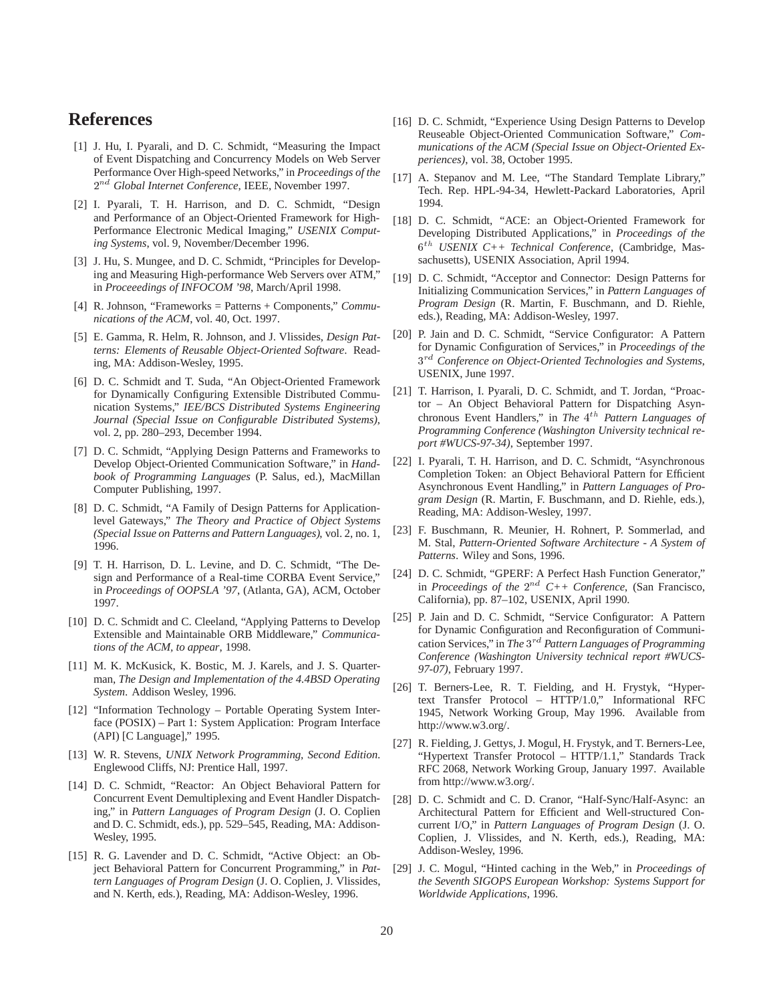# **References**

- [1] J. Hu, I. Pyarali, and D. C. Schmidt, "Measuring the Impact of Event Dispatching and Concurrency Models on Web Server Performance Over High-speed Networks," in *Proceedings of the* <sup>2</sup> nd *Global Internet Conference*, IEEE, November 1997.
- [2] I. Pyarali, T. H. Harrison, and D. C. Schmidt, "Design and Performance of an Object-Oriented Framework for High-Performance Electronic Medical Imaging," *USENIX Computing Systems*, vol. 9, November/December 1996.
- [3] J. Hu, S. Mungee, and D. C. Schmidt, "Principles for Developing and Measuring High-performance Web Servers over ATM," in *Proceeedings of INFOCOM '98*, March/April 1998.
- [4] R. Johnson, "Frameworks = Patterns + Components," *Communications of the ACM*, vol. 40, Oct. 1997.
- [5] E. Gamma, R. Helm, R. Johnson, and J. Vlissides, *Design Patterns: Elements of Reusable Object-Oriented Software*. Reading, MA: Addison-Wesley, 1995.
- [6] D. C. Schmidt and T. Suda, "An Object-Oriented Framework for Dynamically Configuring Extensible Distributed Communication Systems," *IEE/BCS Distributed Systems Engineering Journal (Special Issue on Configurable Distributed Systems)*, vol. 2, pp. 280–293, December 1994.
- [7] D. C. Schmidt, "Applying Design Patterns and Frameworks to Develop Object-Oriented Communication Software," in *Handbook of Programming Languages* (P. Salus, ed.), MacMillan Computer Publishing, 1997.
- [8] D. C. Schmidt, "A Family of Design Patterns for Applicationlevel Gateways," *The Theory and Practice of Object Systems (Special Issue on Patterns and Pattern Languages)*, vol. 2, no. 1, 1996.
- [9] T. H. Harrison, D. L. Levine, and D. C. Schmidt, "The Design and Performance of a Real-time CORBA Event Service," in *Proceedings of OOPSLA '97*, (Atlanta, GA), ACM, October 1997.
- [10] D. C. Schmidt and C. Cleeland, "Applying Patterns to Develop Extensible and Maintainable ORB Middleware," *Communications of the ACM, to appear*, 1998.
- [11] M. K. McKusick, K. Bostic, M. J. Karels, and J. S. Quarterman, *The Design and Implementation of the 4.4BSD Operating System*. Addison Wesley, 1996.
- [12] "Information Technology Portable Operating System Interface (POSIX) – Part 1: System Application: Program Interface (API) [C Language]," 1995.
- [13] W. R. Stevens, *UNIX Network Programming, Second Edition*. Englewood Cliffs, NJ: Prentice Hall, 1997.
- [14] D. C. Schmidt, "Reactor: An Object Behavioral Pattern for Concurrent Event Demultiplexing and Event Handler Dispatching," in *Pattern Languages of Program Design* (J. O. Coplien and D. C. Schmidt, eds.), pp. 529–545, Reading, MA: Addison-Wesley, 1995.
- [15] R. G. Lavender and D. C. Schmidt, "Active Object: an Object Behavioral Pattern for Concurrent Programming," in *Pattern Languages of Program Design* (J. O. Coplien, J. Vlissides, and N. Kerth, eds.), Reading, MA: Addison-Wesley, 1996.
- [16] D. C. Schmidt, "Experience Using Design Patterns to Develop Reuseable Object-Oriented Communication Software," *Communications of the ACM (Special Issue on Object-Oriented Experiences)*, vol. 38, October 1995.
- [17] A. Stepanov and M. Lee, "The Standard Template Library," Tech. Rep. HPL-94-34, Hewlett-Packard Laboratories, April 1994.
- [18] D. C. Schmidt, "ACE: an Object-Oriented Framework for Developing Distributed Applications," in *Proceedings of the* <sup>6</sup> th *USENIX C++ Technical Conference*, (Cambridge, Massachusetts), USENIX Association, April 1994.
- [19] D. C. Schmidt, "Acceptor and Connector: Design Patterns for Initializing Communication Services," in *Pattern Languages of Program Design* (R. Martin, F. Buschmann, and D. Riehle, eds.), Reading, MA: Addison-Wesley, 1997.
- [20] P. Jain and D. C. Schmidt, "Service Configurator: A Pattern for Dynamic Configuration of Services," in *Proceedings of the* <sup>3</sup> rd *Conference on Object-Oriented Technologies and Systems*, USENIX, June 1997.
- [21] T. Harrison, I. Pyarali, D. C. Schmidt, and T. Jordan, "Proactor – An Object Behavioral Pattern for Dispatching Asynchronous Event Handlers," in *The* 4<sup>th</sup> Pattern Languages of *Programming Conference (Washington University technical report #WUCS-97-34)*, September 1997.
- [22] I. Pyarali, T. H. Harrison, and D. C. Schmidt, "Asynchronous Completion Token: an Object Behavioral Pattern for Efficient Asynchronous Event Handling," in *Pattern Languages of Program Design* (R. Martin, F. Buschmann, and D. Riehle, eds.), Reading, MA: Addison-Wesley, 1997.
- [23] F. Buschmann, R. Meunier, H. Rohnert, P. Sommerlad, and M. Stal, *Pattern-Oriented Software Architecture - A System of Patterns*. Wiley and Sons, 1996.
- [24] D. C. Schmidt, "GPERF: A Perfect Hash Function Generator," in *Proceedings of the*  $2^{nd}$  C++ Conference, (San Francisco, California), pp. 87–102, USENIX, April 1990.
- [25] P. Jain and D. C. Schmidt, "Service Configurator: A Pattern for Dynamic Configuration and Reconfiguration of Communication Services," in *The* <sup>3</sup> rd *Pattern Languages of Programming Conference (Washington University technical report #WUCS-97-07)*, February 1997.
- [26] T. Berners-Lee, R. T. Fielding, and H. Frystyk, "Hypertext Transfer Protocol – HTTP/1.0," Informational RFC 1945, Network Working Group, May 1996. Available from http://www.w3.org/.
- [27] R. Fielding, J. Gettys, J. Mogul, H. Frystyk, and T. Berners-Lee, "Hypertext Transfer Protocol – HTTP/1.1," Standards Track RFC 2068, Network Working Group, January 1997. Available from http://www.w3.org/.
- [28] D. C. Schmidt and C. D. Cranor, "Half-Sync/Half-Async: an Architectural Pattern for Efficient and Well-structured Concurrent I/O," in *Pattern Languages of Program Design* (J. O. Coplien, J. Vlissides, and N. Kerth, eds.), Reading, MA: Addison-Wesley, 1996.
- [29] J. C. Mogul, "Hinted caching in the Web," in *Proceedings of the Seventh SIGOPS European Workshop: Systems Support for Worldwide Applications*, 1996.